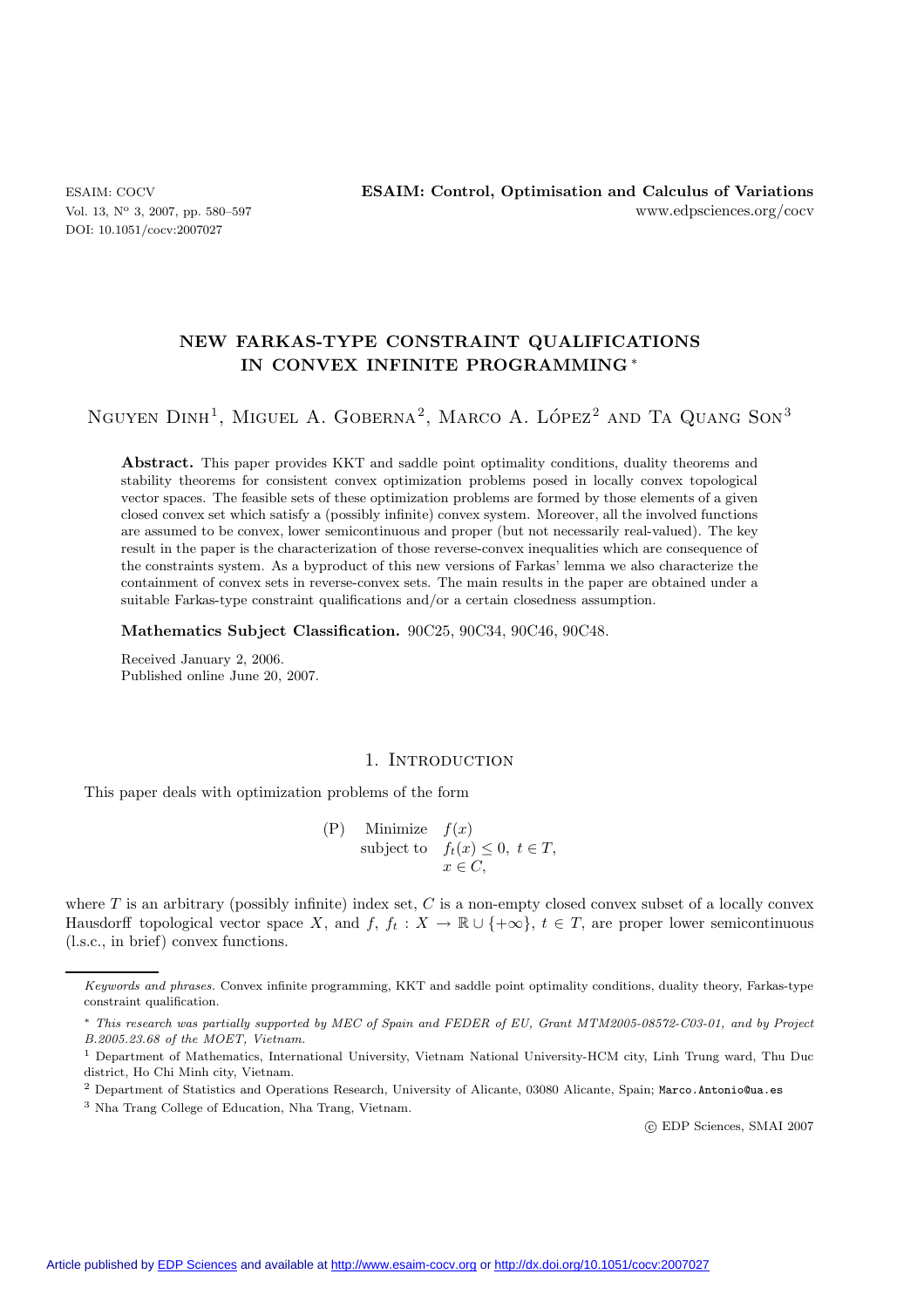DOI: 10.1051/cocv:2007027

# **NEW FARKAS-TYPE CONSTRAINT QUALIFICATIONS IN CONVEX INFINITE PROGRAMMING** ∗

NGUYEN  $DINH<sup>1</sup>$ , MIGUEL A. GOBERNA<sup>2</sup>, MARCO A. LÓPEZ<sup>2</sup> AND TA QUANG SON<sup>3</sup>

**Abstract.** This paper provides KKT and saddle point optimality conditions, duality theorems and stability theorems for consistent convex optimization problems posed in locally convex topological vector spaces. The feasible sets of these optimization problems are formed by those elements of a given closed convex set which satisfy a (possibly infinite) convex system. Moreover, all the involved functions are assumed to be convex, lower semicontinuous and proper (but not necessarily real-valued). The key result in the paper is the characterization of those reverse-convex inequalities which are consequence of the constraints system. As a byproduct of this new versions of Farkas' lemma we also characterize the containment of convex sets in reverse-convex sets. The main results in the paper are obtained under a suitable Farkas-type constraint qualifications and/or a certain closedness assumption.

**Mathematics Subject Classification.** 90C25, 90C34, 90C46, 90C48.

Received January 2, 2006. Published online June 20, 2007.

# 1. INTRODUCTION

This paper deals with optimization problems of the form

(P) Minimize  $f(x)$ <br>subject to  $f(x)$ subject to  $f_t(x) \leq 0, t \in T$ ,<br> $x \in C$  $x \in C$ ,

where  $T$  is an arbitrary (possibly infinite) index set,  $C$  is a non-empty closed convex subset of a locally convex Hausdorff topological vector space X, and f,  $f_t : X \to \mathbb{R} \cup \{+\infty\}$ ,  $t \in T$ , are proper lower semicontinuous (l.s.c., in brief) convex functions.

-c EDP Sciences, SMAI 2007

*Keywords and phrases.* Convex infinite programming, KKT and saddle point optimality conditions, duality theory, Farkas-type constraint qualification.

<sup>∗</sup> *This research was partially supported by MEC of Spain and FEDER of EU, Grant MTM2005-08572-C03-01, and by Project B.2005.23.68 of the MOET, Vietnam.*

<sup>&</sup>lt;sup>1</sup> Department of Mathematics, International University, Vietnam National University-HCM city, Linh Trung ward, Thu Duc district, Ho Chi Minh city, Vietnam.

<sup>2</sup> Department of Statistics and Operations Research, University of Alicante, 03080 Alicante, Spain; Marco.Antonio@ua.es

<sup>3</sup> Nha Trang College of Education, Nha Trang, Vietnam.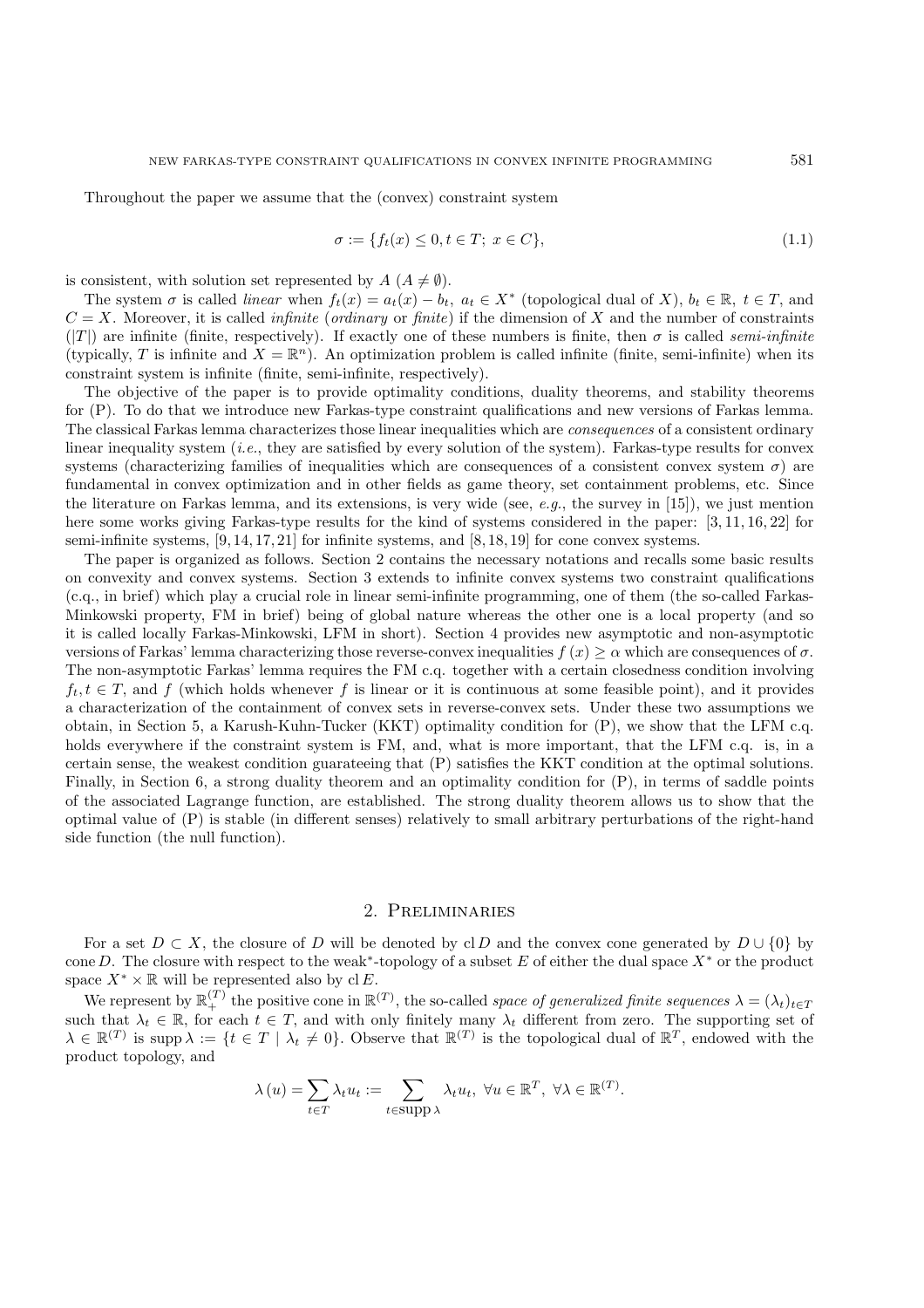Throughout the paper we assume that the (convex) constraint system

$$
\sigma := \{ f_t(x) \le 0, t \in T; \ x \in C \},\tag{1.1}
$$

is consistent, with solution set represented by  $A(A \neq \emptyset)$ .

The system  $\sigma$  is called *linear* when  $f_t(x) = a_t(x) - b_t$ ,  $a_t \in X^*$  (topological dual of X),  $b_t \in \mathbb{R}$ ,  $t \in T$ , and  $C = X$ . Moreover, it is called *infinite* (*ordinary* or *finite*) if the dimension of X and the number of constraints  $(|T|)$  are infinite (finite, respectively). If exactly one of these numbers is finite, then  $\sigma$  is called *semi-infinite* (typically, T is infinite and  $X = \mathbb{R}^n$ ). An optimization problem is called infinite (finite, semi-infinite) when its constraint system is infinite (finite, semi-infinite, respectively).

The objective of the paper is to provide optimality conditions, duality theorems, and stability theorems for (P). To do that we introduce new Farkas-type constraint qualifications and new versions of Farkas lemma. The classical Farkas lemma characterizes those linear inequalities which are *consequences* of a consistent ordinary linear inequality system (*i.e.*, they are satisfied by every solution of the system). Farkas-type results for convex systems (characterizing families of inequalities which are consequences of a consistent convex system  $\sigma$ ) are fundamental in convex optimization and in other fields as game theory, set containment problems, etc. Since the literature on Farkas lemma, and its extensions, is very wide (see, *e.g.*, the survey in [15]), we just mention here some works giving Farkas-type results for the kind of systems considered in the paper: [3, 11, 16, 22] for semi-infinite systems,  $[9, 14, 17, 21]$  for infinite systems, and  $[8, 18, 19]$  for cone convex systems.

The paper is organized as follows. Section 2 contains the necessary notations and recalls some basic results on convexity and convex systems. Section 3 extends to infinite convex systems two constraint qualifications (c.q., in brief) which play a crucial role in linear semi-infinite programming, one of them (the so-called Farkas-Minkowski property, FM in brief) being of global nature whereas the other one is a local property (and so it is called locally Farkas-Minkowski, LFM in short). Section 4 provides new asymptotic and non-asymptotic versions of Farkas' lemma characterizing those reverse-convex inequalities  $f(x) \geq \alpha$  which are consequences of  $\sigma$ . The non-asymptotic Farkas' lemma requires the FM c.q. together with a certain closedness condition involving  $f_t, t \in T$ , and f (which holds whenever f is linear or it is continuous at some feasible point), and it provides a characterization of the containment of convex sets in reverse-convex sets. Under these two assumptions we obtain, in Section 5, a Karush-Kuhn-Tucker (KKT) optimality condition for (P), we show that the LFM c.q. holds everywhere if the constraint system is FM, and, what is more important, that the LFM c.q. is, in a certain sense, the weakest condition guarateeing that (P) satisfies the KKT condition at the optimal solutions. Finally, in Section 6, a strong duality theorem and an optimality condition for (P), in terms of saddle points of the associated Lagrange function, are established. The strong duality theorem allows us to show that the optimal value of (P) is stable (in different senses) relatively to small arbitrary perturbations of the right-hand side function (the null function).

## 2. Preliminaries

For a set  $D \subset X$ , the closure of D will be denoted by cl D and the convex cone generated by  $D \cup \{0\}$  by cone D. The closure with respect to the weak<sup>∗</sup>-topology of a subset E of either the dual space  $X^*$  or the product space  $X^* \times \mathbb{R}$  will be represented also by cl E.

space  $X^* \times \mathbb{R}$  will be represented also by cl E.<br>We represent by  $\mathbb{R}^{(T)}_+$  the positive cone in  $\mathbb{R}^{(T)}$ , the so-called *space of generalized finite sequences*  $\lambda = (\lambda_t)_{t \in T}$ <br>such that  $\lambda_t \in \mathbb{R}$  for eac such that  $\lambda_t \in \mathbb{R}$ , for each  $t \in T$ , and with only finitely many  $\lambda_t$  different from zero. The supporting set of  $\lambda \in \mathbb{R}^{(T)}$  is supporting to  $\lambda \in \mathbb{R}^{(T)}$  is supporting to  $\lambda$  is  $t \in T + \lambda$ ,  $t \in \mathbb{R}$ . Ob  $\lambda \in \mathbb{R}^{(T)}$  is supp  $\lambda := \{t \in T \mid \lambda_t \neq 0\}$ . Observe that  $\mathbb{R}^{(T)}$  is the topological dual of  $\mathbb{R}^T$ , endowed with the product topology and product topology, and

$$
\lambda(u) = \sum_{t \in T} \lambda_t u_t := \sum_{t \in \text{supp }\lambda} \lambda_t u_t, \ \forall u \in \mathbb{R}^T, \ \forall \lambda \in \mathbb{R}^{(T)}.
$$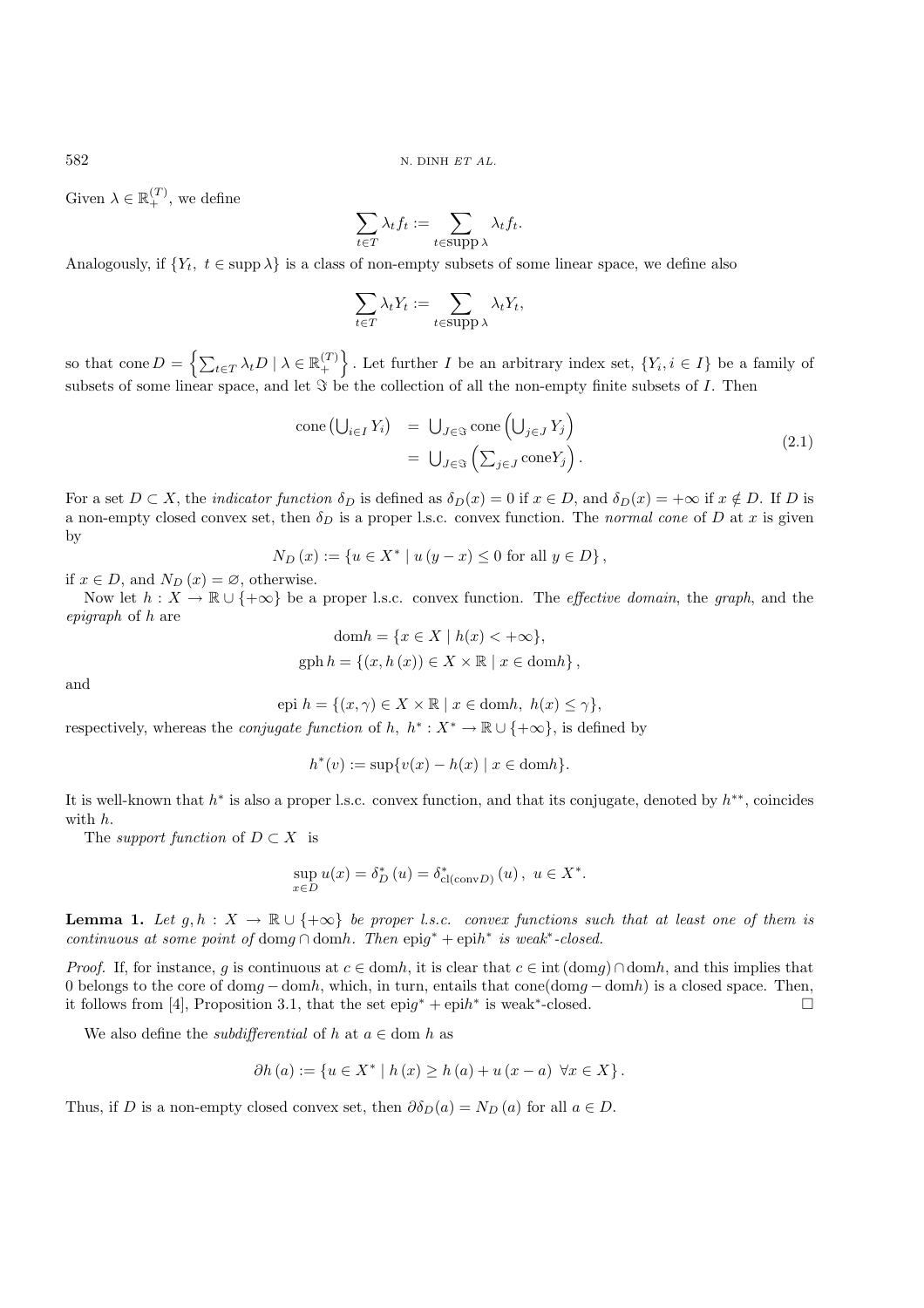Given  $\lambda \in \mathbb{R}_+^{(T)}$ , we define

$$
\sum_{t \in T} \lambda_t f_t := \sum_{t \in \text{supp } \lambda} \lambda_t f_t.
$$

Analogously, if  $\{Y_t, t \in \text{supp }\lambda\}$  is a class of non-empty subsets of some linear space, we define also

$$
\sum_{t \in T} \lambda_t Y_t := \sum_{t \in \text{supp } \lambda} \lambda_t Y_t,
$$

so that cone  $D = \left\{ \sum_{t \in T} \lambda_t D \mid \lambda \in \mathbb{R}^{(T)}_+ \right\}$ . Let further I be an arbitrary index set,  $\{Y_i, i \in I\}$  be a family of subsets of some linear space, and let  $\Im$  be the collection of all the non-empty finite subsets of I. Then

$$
\text{cone}\left(\bigcup_{i\in I} Y_i\right) = \bigcup_{J\in\mathfrak{S}} \text{cone}\left(\bigcup_{j\in J} Y_j\right)
$$
\n
$$
= \bigcup_{J\in\mathfrak{S}} \left(\sum_{j\in J} \text{cone} Y_j\right). \tag{2.1}
$$

For a set  $D \subset X$ , the *indicator function*  $\delta_D$  is defined as  $\delta_D(x) = 0$  if  $x \in D$ , and  $\delta_D(x) = +\infty$  if  $x \notin D$ . If D is a non-empty closed convex set, then  $\delta_D$  is a proper l.s.c. convex function. The *normal cone* of D at x is given by

$$
N_D(x) := \{ u \in X^* \mid u(y - x) \le 0 \text{ for all } y \in D \},
$$

if  $x \in D$ , and  $N_D(x) = \emptyset$ , otherwise.

Now let  $h: X \to \mathbb{R} \cup \{+\infty\}$  be a proper l.s.c. convex function. The *effective domain*, the *graph*, and the *epigraph* of h are

$$
\text{dom}h = \{x \in X \mid h(x) < +\infty\},\
$$
\n
$$
\text{gph}\,h = \{(x, h(x)) \in X \times \mathbb{R} \mid x \in \text{dom}h\},
$$

and

epi  $h = \{(x, \gamma) \in X \times \mathbb{R} \mid x \in \text{dom} h, h(x) \leq \gamma\},\$ 

respectively, whereas the *conjugate function* of h,  $h^*: X^* \to \mathbb{R} \cup \{+\infty\}$ , is defined by

$$
h^*(v) := \sup\{v(x) - h(x) \mid x \in \text{dom}h\}.
$$

It is well-known that  $h^*$  is also a proper l.s.c. convex function, and that its conjugate, denoted by  $h^{**}$ , coincides with h.

The *support function* of  $D \subset X$  is

$$
\sup_{x \in D} u(x) = \delta_D^* (u) = \delta_{\text{cl}(\text{conv}D)}^* (u), \ u \in X^*.
$$

**Lemma 1.** Let  $q, h : X \to \mathbb{R} \cup \{+\infty\}$  be proper l.s.c. convex functions such that at least one of them is *continuous at some point of* domg <sup>∩</sup> domh*. Then* epig<sup>∗</sup> + epih<sup>∗</sup> *is weak*<sup>∗</sup>*-closed.*

*Proof.* If, for instance, q is continuous at  $c \in \text{dom}h$ , it is clear that  $c \in \text{int}(\text{dom}q) \cap \text{dom}h$ , and this implies that 0 belongs to the core of domg – domh, which, in turn, entails that cone(domg – domh) is a closed space. Then, it follows from [4] Proposition 3.1, that the set epi $a^* + \text{enib}^*$  is weak\*-closed it follows from [4], Proposition 3.1, that the set  $epig^* + epih^*$  is weak<sup>\*</sup>-closed.

We also define the *subdifferential* of h at  $a \in \text{dom } h$  as

$$
\partial h(a) := \{ u \in X^* \mid h(x) \ge h(a) + u(x - a) \ \forall x \in X \}.
$$

Thus, if D is a non-empty closed convex set, then  $\partial \delta_D(a) = N_D(a)$  for all  $a \in D$ .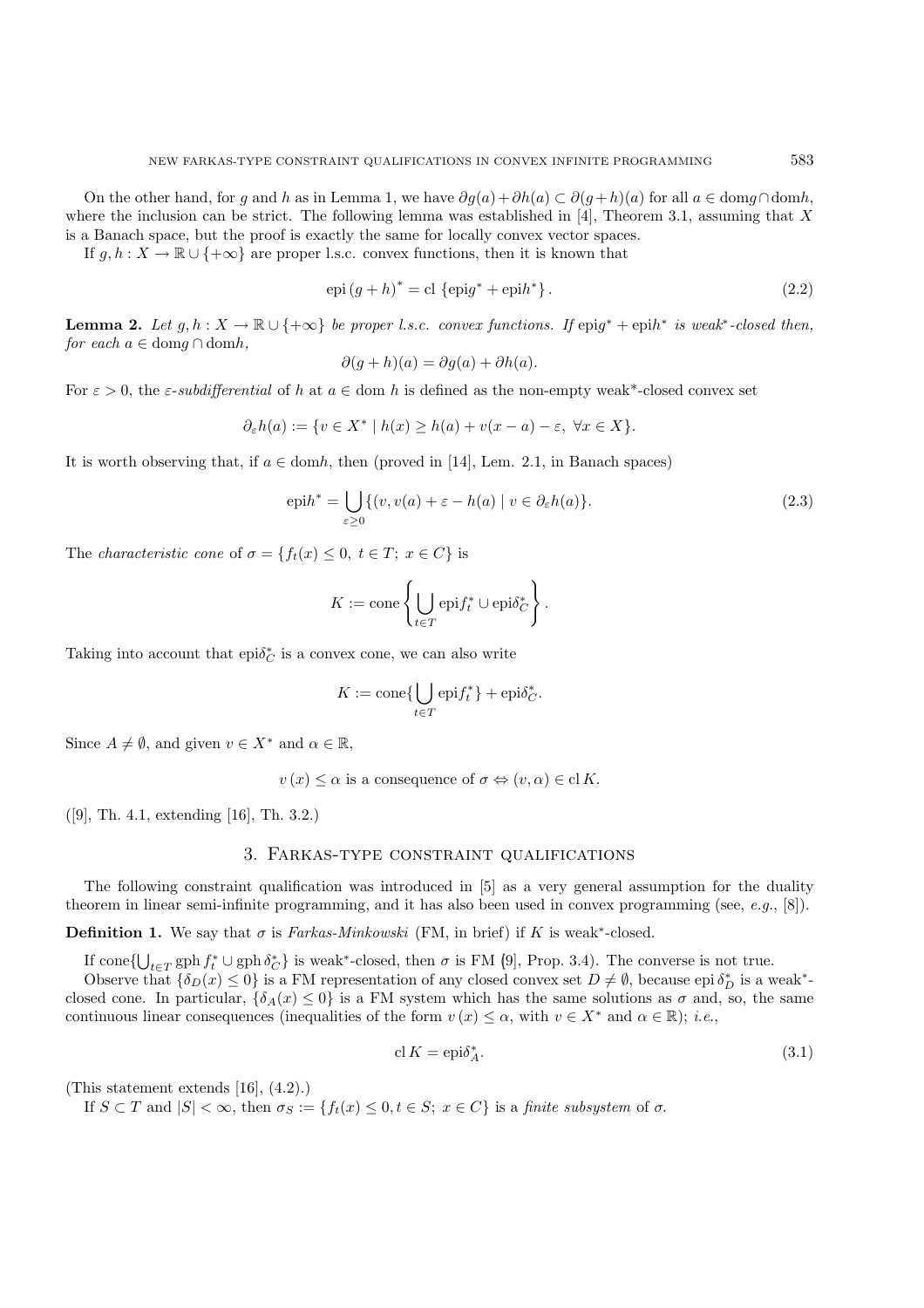On the other hand, for g and h as in Lemma 1, we have  $\partial q(a)+\partial h(a) \subset \partial (q+h)(a)$  for all  $a \in \text{dom } q \cap \text{dom } h$ , where the inclusion can be strict. The following lemma was established in [4], Theorem 3.1, assuming that X is a Banach space, but the proof is exactly the same for locally convex vector spaces.

If  $g, h : X \to \mathbb{R} \cup \{+\infty\}$  are proper l.s.c. convex functions, then it is known that

$$
epi(g+h)^* = cl \{ epig^* + epih^* \}.
$$
\n
$$
(2.2)
$$

**Lemma 2.** *Let*  $g, h: X \to \mathbb{R} \cup \{+\infty\}$  *be proper l.s.c. convex functions. If* epig<sup>\*</sup> + epih<sup>∗</sup> *is weak*<sup>∗</sup>-closed then, *for each*  $a \in \text{dom } q \cap \text{dom } h$ ,

$$
\partial(g+h)(a) = \partial g(a) + \partial h(a).
$$

For  $\varepsilon > 0$ , the  $\varepsilon$ -*subdifferential* of h at  $a \in \text{dom } h$  is defined as the non-empty weak\*-closed convex set

$$
\partial_{\varepsilon}h(a) := \{ v \in X^* \mid h(x) \ge h(a) + v(x - a) - \varepsilon, \ \forall x \in X \}.
$$

It is worth observing that, if  $a \in \text{dom}h$ , then (proved in [14], Lem. 2.1, in Banach spaces)

$$
epih^* = \bigcup_{\varepsilon \ge 0} \{ (v, v(a) + \varepsilon - h(a) \mid v \in \partial_{\varepsilon} h(a) \}. \tag{2.3}
$$

The *characteristic cone* of  $\sigma = \{f_t(x) \leq 0, t \in T; x \in C\}$  is

$$
K := \text{cone}\left\{\bigcup_{t \in T} \text{epi} f_t^* \cup \text{epi} \delta_C^*\right\}.
$$

Taking into account that  $\mathrm{epi} \delta_C^*$  is a convex cone, we can also write

$$
K := \text{cone}\{\bigcup_{t \in T} \text{epi} f_t^*\} + \text{epi}\delta_C^*.
$$

Since  $A \neq \emptyset$ , and given  $v \in X^*$  and  $\alpha \in \mathbb{R}$ ,

 $v(x) \leq \alpha$  is a consequence of  $\sigma \Leftrightarrow (v, \alpha) \in \mathrm{cl} K$ .

([9], Th. 4.1, extending [16], Th. 3.2.)

#### 3. Farkas-type constraint qualifications

The following constraint qualification was introduced in [5] as a very general assumption for the duality theorem in linear semi-infinite programming, and it has also been used in convex programming (see, *e.g.*, [8]).

**Definition 1.** We say that  $\sigma$  is *Farkas-Minkowski* (FM, in brief) if K is weak<sup>\*</sup>-closed.

If  $\text{cone} \{ \bigcup_{t \in T} \text{gph } f_t^* \cup \text{gph } \delta_C^* \}$  is weak<sup>\*</sup>-closed, then  $\sigma$  is FM (9), Prop. 3.4). The converse is not true.<br>Observe that  $f_{\delta_D}(r) < 0$  is a FM representation of any closed convex set  $D \neq \emptyset$  because epi

Observe that  $\{\delta_D(x) \leq 0\}$  is a FM representation of any closed convex set  $D \neq \emptyset$ , because epi  $\delta_D^*$  is a weak<sup>\*</sup>-<br>sed cone. In particular  $f_{\delta}(\alpha) < 0$ , is a FM system which has the same solutions as  $\sigma$  and so, closed cone. In particular,  ${\delta_A(x) \leq 0}$  is a FM system which has the same solutions as  $\sigma$  and, so, the same continuous linear consequences (inequalities of the form  $v(x) \leq \alpha$ , with  $v \in X^*$  and  $\alpha \in \mathbb{R}$ ); *i.e.*,

$$
\operatorname{cl} K = \operatorname{epi}\delta_A^*.
$$
\n<sup>(3.1)</sup>

(This statement extends [16], (4.2).)

If  $S \subset T$  and  $|S| < \infty$ , then  $\sigma_S := \{f_t(x) \leq 0, t \in S; x \in C\}$  is a *finite subsystem* of  $\sigma$ .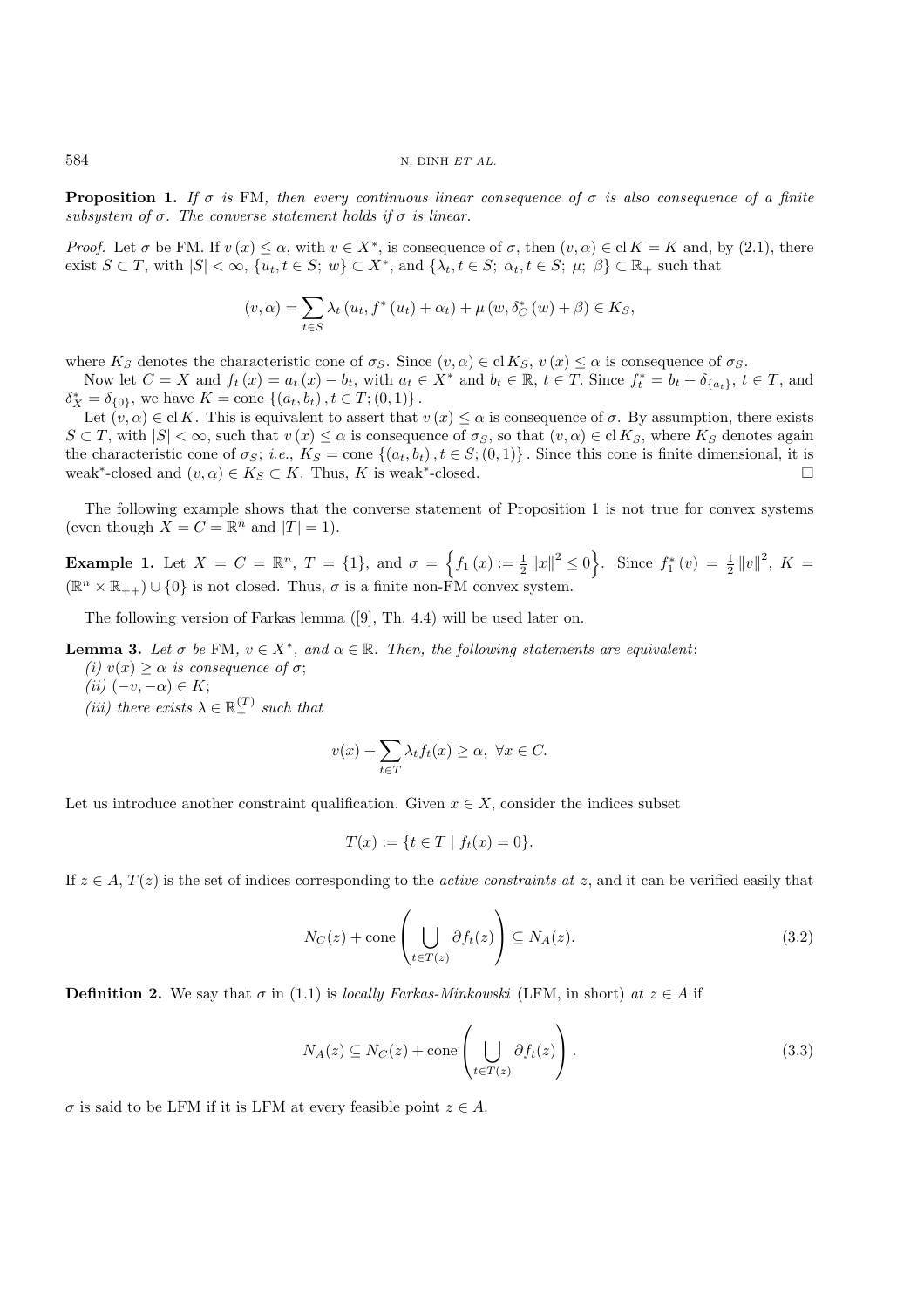**Proposition 1.** *If*  $\sigma$  *is* FM, *then every continuous linear consequence of*  $\sigma$  *is also consequence of* a finite *subsystem of*  $\sigma$ *. The converse statement holds if*  $\sigma$  *is linear.* 

*Proof.* Let  $\sigma$  be FM. If  $v(x) \leq \alpha$ , with  $v \in X^*$ , is consequence of  $\sigma$ , then  $(v, \alpha) \in \text{cl } K = K$  and, by (2.1), there exist  $S \subset T$ , with  $|S| < \infty$ ,  $\{u_t, t \in S; w\} \subset X^*$ , and  $\{\lambda_t, t \in S; \alpha_t, t \in S; \mu; \beta\} \subset \mathbb{R}_+$  such that

$$
(v, \alpha) = \sum_{t \in S} \lambda_t (u_t, f^*(u_t) + \alpha_t) + \mu (w, \delta_C^*(w) + \beta) \in K_S,
$$

where  $K_S$  denotes the characteristic cone of  $\sigma_S$ . Since  $(v, \alpha) \in \text{cl } K_S$ ,  $v(x) \leq \alpha$  is consequence of  $\sigma_S$ .

Now let  $C = X$  and  $f_t(x) = a_t(x) - b_t$ , with  $a_t \in X^*$  and  $b_t \in \mathbb{R}$ ,  $t \in T$ . Since  $f_t^* = b_t + \delta_{\{a_t\}}$ ,  $t \in T$ , and  $-\delta_{\{a_t\}}$  we have  $K = \text{cone } f(a_t, b_t)$ ,  $t \in T^*(0, 1)$  $\delta_X^* = \delta_{\{0\}}$ , we have  $K = \text{cone} \{ (a_t, b_t), t \in T; (0, 1) \}$ .<br>Let  $(a, \alpha) \in \text{cl } K$ . This is equivalent to assert that

Let  $(v, \alpha) \in \text{cl } K$ . This is equivalent to assert that  $v(x) \leq \alpha$  is consequence of  $\sigma$ . By assumption, there exists  $S \subset T$ , with  $|S| < \infty$ , such that  $v(x) \leq \alpha$  is consequence of  $\sigma_S$ , so that  $(v, \alpha) \in \text{cl } K_S$ , where  $K_S$  denotes again the characteristic cone of  $\sigma_S$ ; *i.e.*,  $K_S = \text{cone} \{ (a_t, b_t), t \in S; (0, 1) \}$ . Since this cone is finite dimensional, it is weak\*-closed and  $(a, \alpha) \in K_S \subset K$ . Thus K is weak\*-closed weak<sup>\*</sup>-closed and  $(v, \alpha) \in K_S \subset K$ . Thus, K is weak<sup>\*</sup>-closed.

The following example shows that the converse statement of Proposition 1 is not true for convex systems (even though  $X = C = \mathbb{R}^n$  and  $|T| = 1$ ).

**Example 1.** Let  $X = C = \mathbb{R}^n$ ,  $T = \{1\}$ , and  $\sigma = \{f_1(x) := \frac{1}{2} ||x||^2 \le 0\}$ . Since  $f_1^*(v) = \frac{1}{2} ||v||^2$ ,  $K = \{f_1^*(v) = \frac{1}{2} ||v||^2\}$  $(\mathbb{R}^n \times \mathbb{R}_{++}) \cup \{0\}$  is not closed. Thus,  $\sigma$  is a finite non-FM convex system.

The following version of Farkas lemma ([9], Th. 4.4) will be used later on.

**Lemma 3.** Let  $\sigma$  be FM,  $v \in X^*$ , and  $\alpha \in \mathbb{R}$ . Then, the following statements are equivalent: *(i)*  $v(x) > \alpha$  *is consequence of*  $\sigma$ ;

 $(iii)$   $(-v, -\alpha) \in K;$ 

(*iii*) there exists  $\lambda \in \mathbb{R}_+^{(T)}$  such that

$$
v(x) + \sum_{t \in T} \lambda_t f_t(x) \ge \alpha, \ \forall x \in C.
$$

Let us introduce another constraint qualification. Given  $x \in X$ , consider the indices subset

$$
T(x) := \{ t \in T \mid f_t(x) = 0 \}.
$$

If  $z \in A$ ,  $T(z)$  is the set of indices corresponding to the *active constraints at* z, and it can be verified easily that

$$
N_C(z) + \text{cone}\left(\bigcup_{t \in T(z)} \partial f_t(z)\right) \subseteq N_A(z). \tag{3.2}
$$

**Definition 2.** We say that  $\sigma$  in (1.1) is *locally Farkas-Minkowski* (LFM, in short) *at*  $z \in A$  if

$$
N_A(z) \subseteq N_C(z) + \text{cone}\left(\bigcup_{t \in T(z)} \partial f_t(z)\right). \tag{3.3}
$$

 $\sigma$  is said to be LFM if it is LFM at every feasible point  $z \in A$ .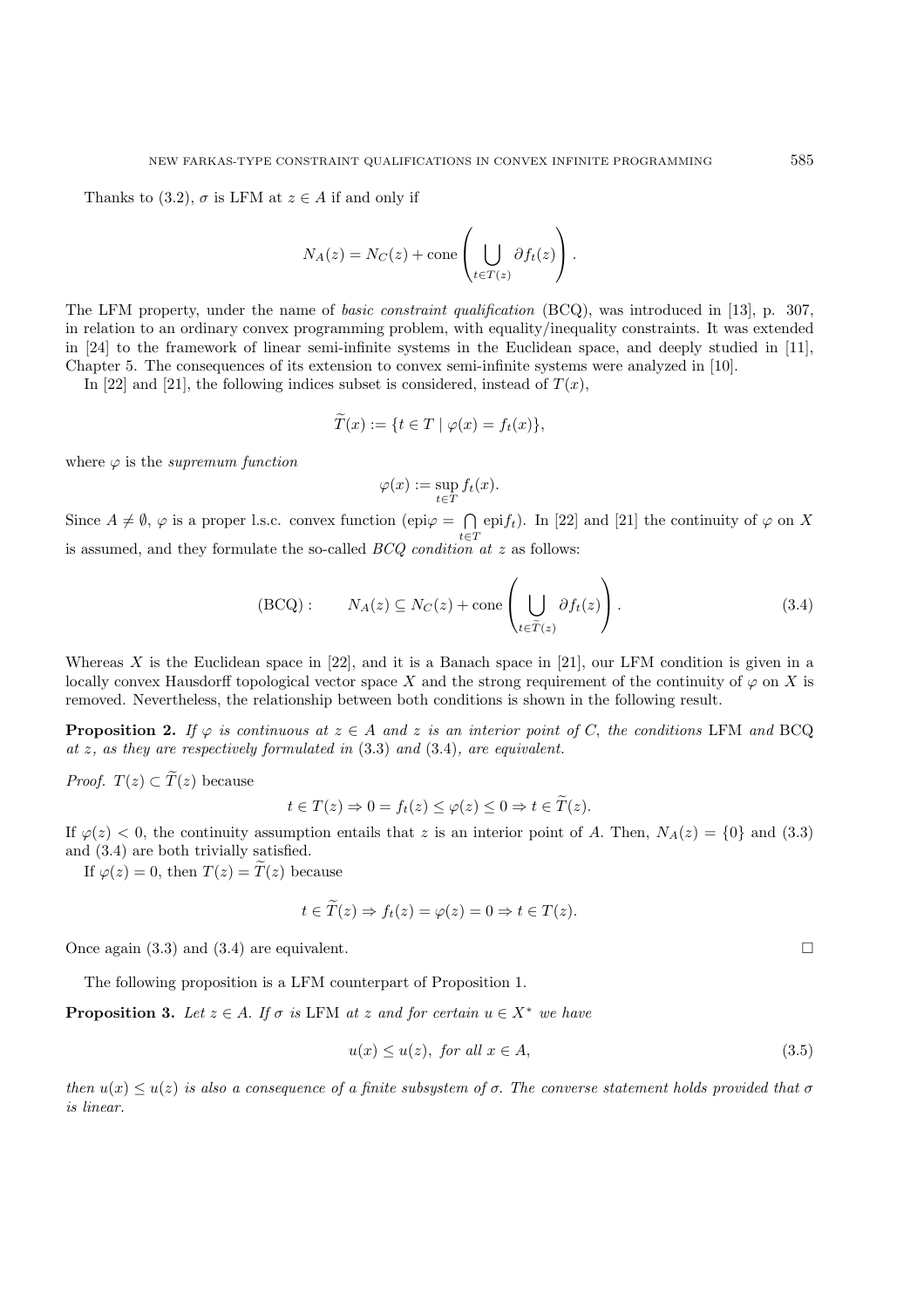Thanks to (3.2),  $\sigma$  is LFM at  $z \in A$  if and only if

$$
N_A(z) = N_C(z) + \text{cone}\left(\bigcup_{t \in T(z)} \partial f_t(z)\right).
$$

The LFM property, under the name of *basic constraint qualification* (BCQ), was introduced in [13], p. 307, in relation to an ordinary convex programming problem, with equality/inequality constraints. It was extended in [24] to the framework of linear semi-infinite systems in the Euclidean space, and deeply studied in [11], Chapter 5. The consequences of its extension to convex semi-infinite systems were analyzed in [10].

In [22] and [21], the following indices subset is considered, instead of  $T(x)$ ,

$$
T(x) := \{ t \in T \mid \varphi(x) = f_t(x) \},
$$

where  $\varphi$  is the *supremum function* 

$$
\varphi(x) := \sup_{t \in T} f_t(x).
$$

Since  $A \neq \emptyset$ ,  $\varphi$  is a proper l.s.c. convex function (epi $\varphi = \bigcap_{t \in T}$ epi $f_t$ ). In [22] and [21] the continuity of  $\varphi$  on X is assumed, and they formulate the so-called *BCQ condition at* z as follows:

$$
(BCQ): \t N_A(z) \subseteq N_C(z) + \text{cone}\left(\bigcup_{t \in \tilde{T}(z)} \partial f_t(z)\right). \t (3.4)
$$

Whereas X is the Euclidean space in [22], and it is a Banach space in [21], our LFM condition is given in a locally convex Hausdorff topological vector space X and the strong requirement of the continuity of  $\varphi$  on X is removed. Nevertheless, the relationship between both conditions is shown in the following result.

**Proposition 2.** If  $\varphi$  is continuous at  $z \in A$  and z is an interior point of C, the conditions LFM and BCQ. *at* z*, as they are respectively formulated in* (3.3) *and* (3.4)*, are equivalent.*

*Proof.* 
$$
T(z) \subset T(z)
$$
 because

 $t \in T(z) \Rightarrow 0 = f_t(z) \leq \varphi(z) \leq 0 \Rightarrow t \in \widetilde{T}(z).$ 

If  $\varphi(z) < 0$ , the continuity assumption entails that z is an interior point of A. Then,  $N_A(z) = \{0\}$  and (3.3) and (3.4) are both trivially satisfied.

If  $\varphi(z)=0$ , then  $T(z) = \widetilde{T}(z)$  because

$$
t \in \overline{T}(z) \Rightarrow f_t(z) = \varphi(z) = 0 \Rightarrow t \in \overline{T}(z).
$$

Once again  $(3.3)$  and  $(3.4)$  are equivalent.

The following proposition is a LFM counterpart of Proposition 1.

**Proposition 3.** *Let*  $z \in A$ *. If*  $\sigma$  *is* LFM *at*  $z$  *and for certain*  $u \in X^*$  *we have* 

$$
u(x) \le u(z), \text{ for all } x \in A,
$$
\n
$$
(3.5)
$$

*then*  $u(x) \leq u(z)$  *is also a consequence of a finite subsystem of*  $\sigma$ . The converse statement holds provided that  $\sigma$ *is linear.*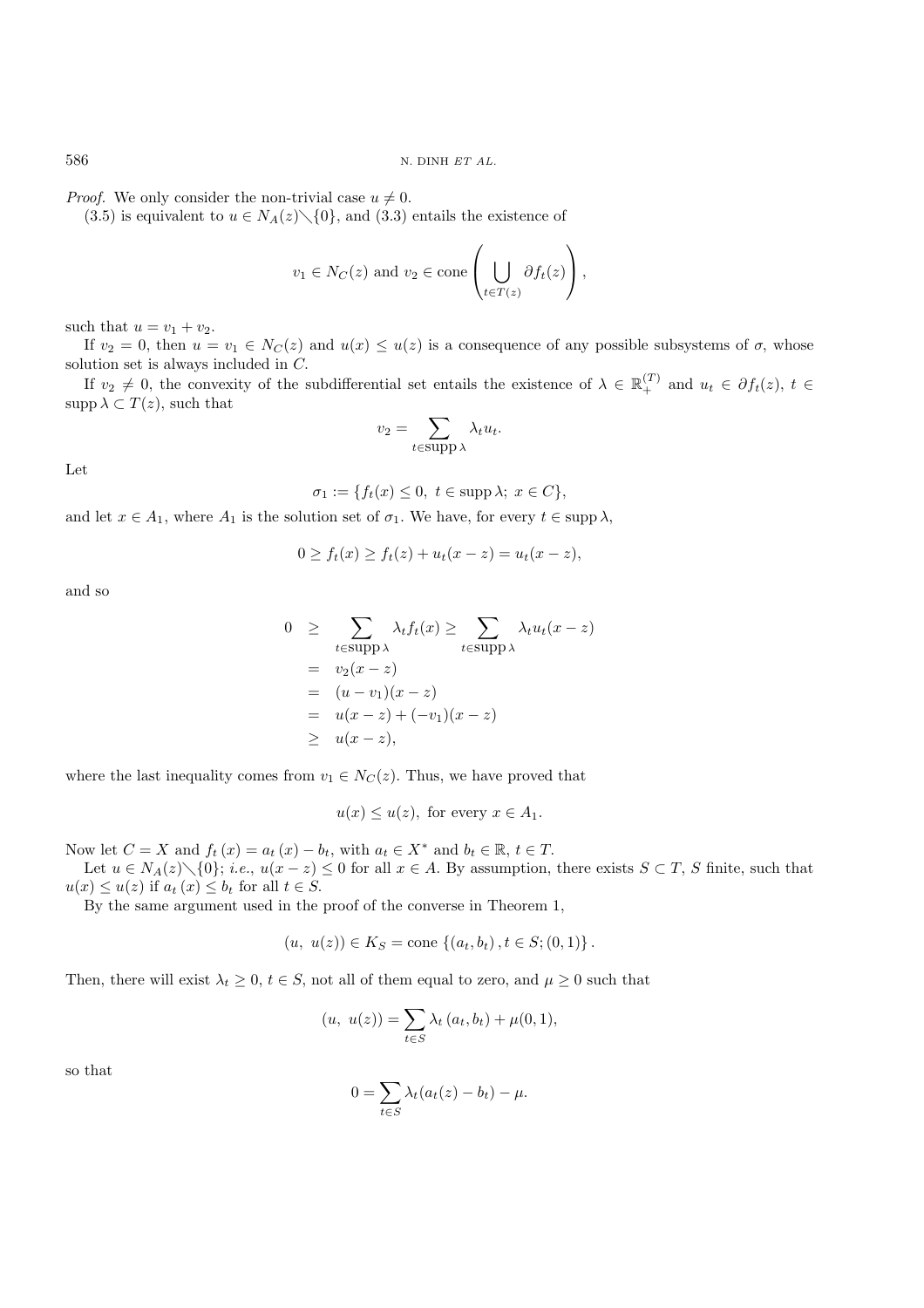*Proof.* We only consider the non-trivial case  $u \neq 0$ .

(3.5) is equivalent to  $u \in N_A(z) \setminus \{0\}$ , and (3.3) entails the existence of

$$
v_1 \in N_C(z)
$$
 and  $v_2 \in \text{cone}\left(\bigcup_{t \in T(z)} \partial f_t(z)\right)$ ,

such that  $u = v_1 + v_2$ .

If  $v_2 = 0$ , then  $u = v_1 \in N_C(z)$  and  $u(x) \leq u(z)$  is a consequence of any possible subsystems of  $\sigma$ , whose solution set is always included in C.

If  $v_2 \neq 0$ , the convexity of the subdifferential set entails the existence of  $\lambda \in \mathbb{R}_+^{(T)}$  and  $u_t \in \partial f_t(z)$ ,  $t \in$  $\text{supp }\lambda \subset T(z)$ , such that

$$
v_2 = \sum_{t \in \text{supp }\lambda} \lambda_t u_t.
$$

Let

$$
\sigma_1 := \{ f_t(x) \le 0, \ t \in \text{supp } \lambda; \ x \in C \},
$$

and let  $x \in A_1$ , where  $A_1$  is the solution set of  $\sigma_1$ . We have, for every  $t \in \text{supp }\lambda$ ,

$$
0 \ge f_t(x) \ge f_t(z) + u_t(x - z) = u_t(x - z),
$$

and so

$$
0 \geq \sum_{t \in \text{supp }\lambda} \lambda_t f_t(x) \geq \sum_{t \in \text{supp }\lambda} \lambda_t u_t(x - z)
$$
  
=  $v_2(x - z)$   
=  $(u - v_1)(x - z)$   
=  $u(x - z) + (-v_1)(x - z)$   
 $\geq u(x - z),$ 

where the last inequality comes from  $v_1 \in N_C(z)$ . Thus, we have proved that

$$
u(x) \leq u(z)
$$
, for every  $x \in A_1$ .

Now let  $C = X$  and  $f_t(x) = a_t(x) - b_t$ , with  $a_t \in X^*$  and  $b_t \in \mathbb{R}$ ,  $t \in T$ .

Let  $u \in N_A(z) \setminus \{0\}$ ; *i.e.*,  $u(x - z) \le 0$  for all  $x \in A$ . By assumption, there exists  $S \subset T$ , S finite, such that  $x \ge u(z)$  if  $a_x(x) \le b$ , for all  $t \in S$  $u(x) \le u(z)$  if  $a_t(x) \le b_t$  for all  $t \in S$ .

By the same argument used in the proof of the converse in Theorem 1,

$$
(u, u(z)) \in K_S
$$
 = cone  $\{(a_t, b_t), t \in S; (0, 1)\}$ .

Then, there will exist  $\lambda_t \geq 0$ ,  $t \in S$ , not all of them equal to zero, and  $\mu \geq 0$  such that

$$
(u, u(z)) = \sum_{t \in S} \lambda_t (a_t, b_t) + \mu(0, 1),
$$

so that

$$
0 = \sum_{t \in S} \lambda_t (a_t(z) - b_t) - \mu.
$$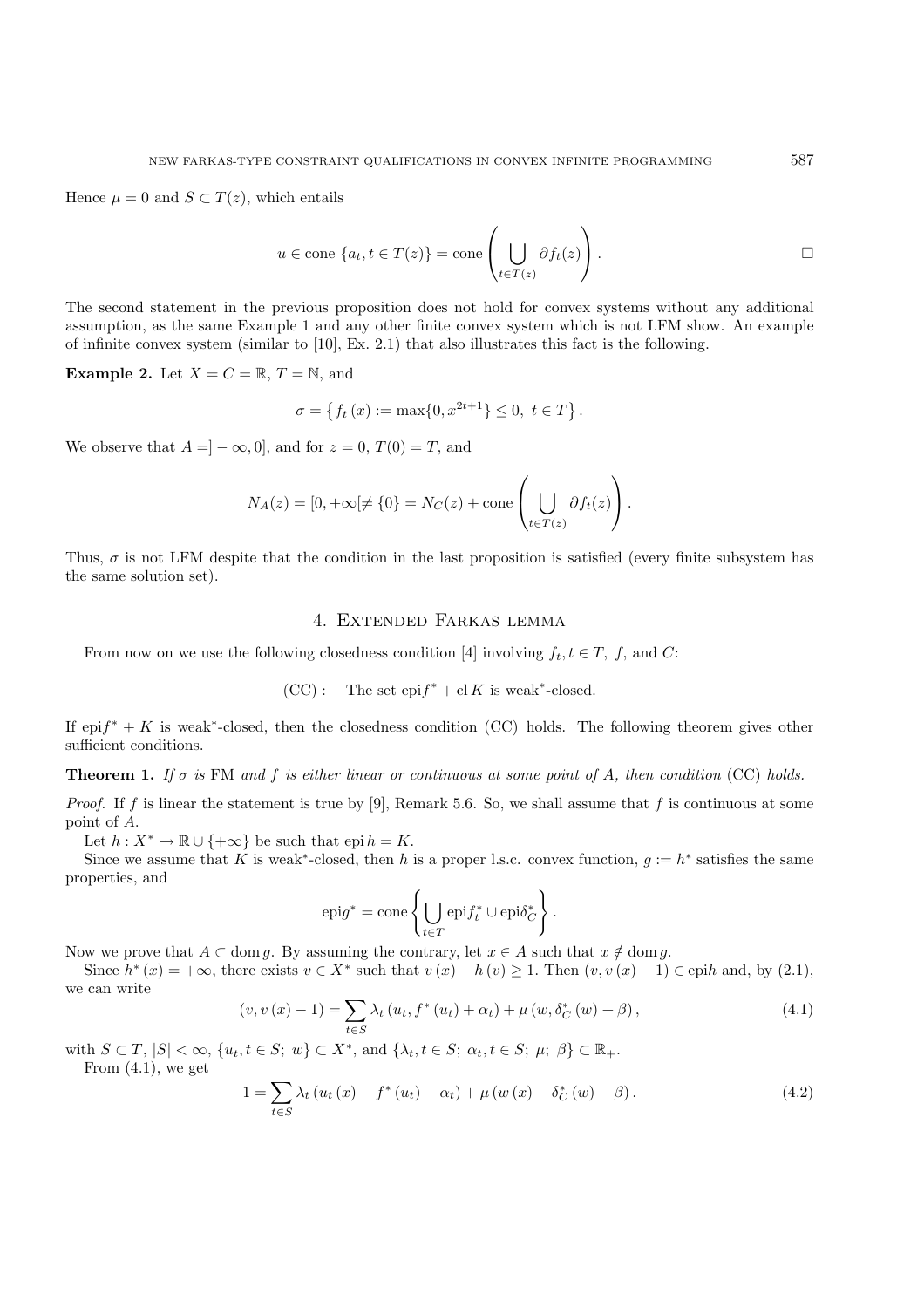Hence  $\mu = 0$  and  $S \subset T(z)$ , which entails

$$
u \in \text{cone} \{a_t, t \in T(z)\} = \text{cone}\left(\bigcup_{t \in T(z)} \partial f_t(z)\right).
$$

The second statement in the previous proposition does not hold for convex systems without any additional assumption, as the same Example 1 and any other finite convex system which is not LFM show. An example of infinite convex system (similar to [10], Ex. 2.1) that also illustrates this fact is the following.

**Example 2.** Let  $X = C = \mathbb{R}, T = \mathbb{N}$ , and

$$
\sigma = \left\{ f_t \left( x \right) := \max \{ 0, x^{2t+1} \} \le 0, \ t \in T \right\}
$$

We observe that  $A = ] - \infty, 0]$ , and for  $z = 0$ ,  $T(0) = T$ , and

$$
N_A(z) = [0, +\infty[ \neq \{0\} = N_C(z) + \text{cone}\left(\bigcup_{t \in T(z)} \partial f_t(z)\right).
$$

Thus,  $\sigma$  is not LFM despite that the condition in the last proposition is satisfied (every finite subsystem has the same solution set).

# 4. Extended Farkas lemma

From now on we use the following closedness condition [4] involving  $f_t, t \in T$ , f, and C:

$$
(CC):
$$
 The set  $\text{epi}f^* + \text{cl } K$  is weak\*-closed.

If epi $f^* + K$  is weak<sup>\*</sup>-closed, then the closedness condition (CC) holds. The following theorem gives other sufficient conditions.

**Theorem 1.** *If* σ *is* FM *and* f *is either linear or continuous at some point of* A*, then condition* (CC) *holds.*

*Proof.* If f is linear the statement is true by [9], Remark 5.6. So, we shall assume that f is continuous at some point of A.

Let  $h: X^* \to \mathbb{R} \cup \{+\infty\}$  be such that epi  $h = K$ .

Since we assume that K is weak<sup>\*</sup>-closed, then h is a proper l.s.c. convex function,  $q := h^*$  satisfies the same properties, and

$$
epig^* = cone \left\{ \bigcup_{t \in T} epif_t^* \cup epi\delta_C^* \right\}.
$$

Now we prove that  $A \subset \text{dom } g$ . By assuming the contrary, let  $x \in A$  such that  $x \notin \text{dom } g$ .

Since  $h^*(x) = +\infty$ , there exists  $v \in X^*$  such that  $v(x) - h(v) \ge 1$ . Then  $(v, v(x) - 1) \in \text{epih}$  and, by (2.1), we can write

$$
(v, v(x) - 1) = \sum_{t \in S} \lambda_t (u_t, f^*(u_t) + \alpha_t) + \mu (w, \delta_C^*(w) + \beta), \qquad (4.1)
$$

with  $S \subset T$ ,  $|S| < \infty$ ,  $\{u_t, t \in S; w\} \subset X^*$ , and  $\{\lambda_t, t \in S; \alpha_t, t \in S; \mu; \beta\} \subset \mathbb{R}_+$ . From  $(4.1)$ , we get

$$
1 = \sum_{t \in S} \lambda_t \left( u_t \left( x \right) - f^* \left( u_t \right) - \alpha_t \right) + \mu \left( w \left( x \right) - \delta_C^* \left( w \right) - \beta \right). \tag{4.2}
$$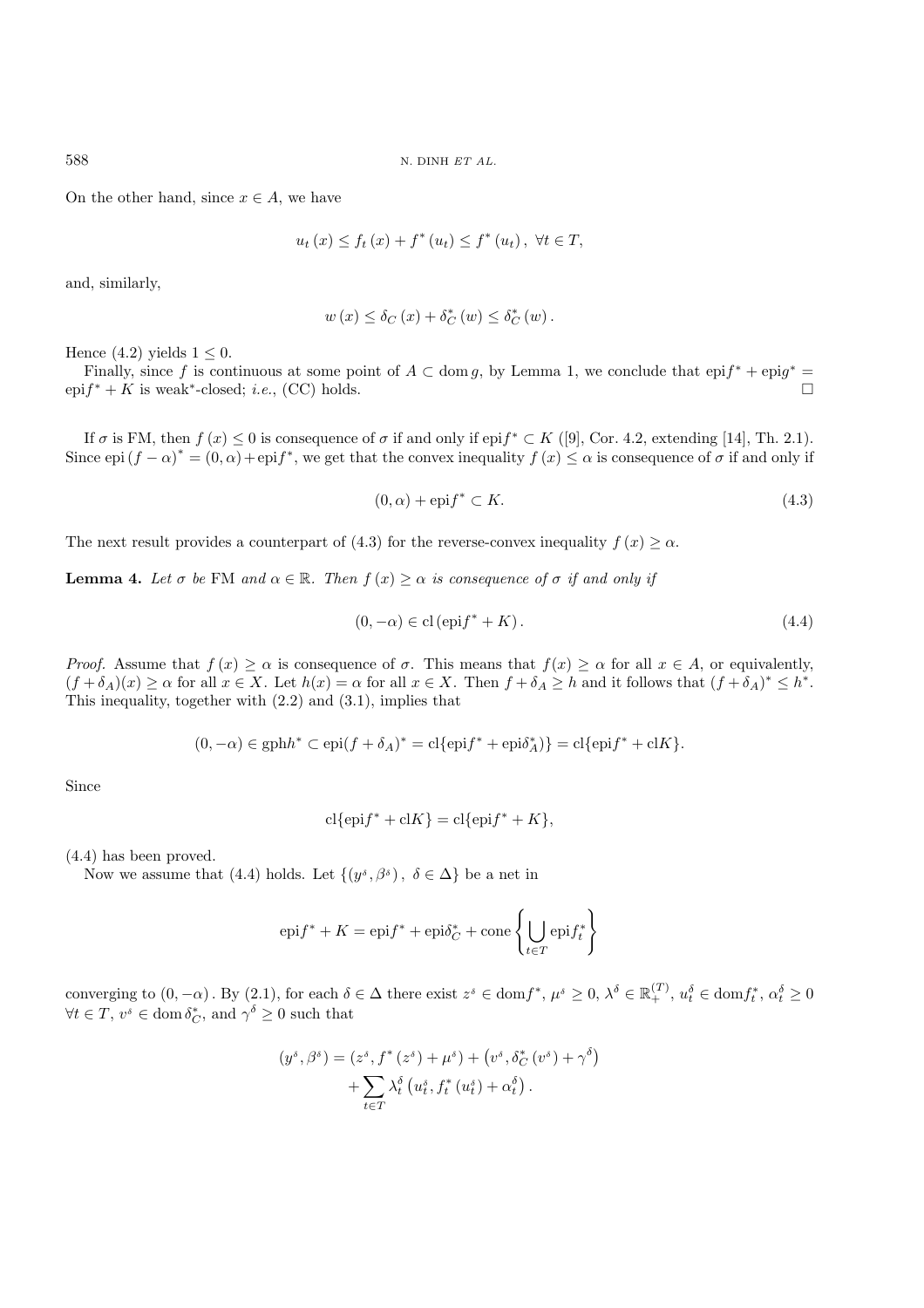On the other hand, since  $x \in A$ , we have

$$
u_t(x) \leq f_t(x) + f^*(u_t) \leq f^*(u_t), \ \forall t \in T,
$$

and, similarly,

$$
w(x) \leq \delta_C(x) + \delta_C^*(w) \leq \delta_C^*(w).
$$

Hence  $(4.2)$  yields  $1 \leq 0$ .

Finally, since f is continuous at some point of  $A \subset \text{dom } g$ , by Lemma 1, we conclude that  $epif^* + epig^* = if^* + K$  is weak\*-closed: i.e. (CC) holds epi $f^* + K$  is weak<sup>\*</sup>-closed; *i.e.*, (CC) holds.

If  $\sigma$  is FM, then  $f(x) \leq 0$  is consequence of  $\sigma$  if and only if epi $f^* \subset K$  ([9], Cor. 4.2, extending [14], Th. 2.1). Since  $epi (f - \alpha)^* = (0, \alpha) + epif^*$ , we get that the convex inequality  $f(x) \leq \alpha$  is consequence of  $\sigma$  if and only if

$$
(0, \alpha) + \text{epi} f^* \subset K. \tag{4.3}
$$

The next result provides a counterpart of (4.3) for the reverse-convex inequality  $f(x) \geq \alpha$ .

**Lemma 4.** Let  $\sigma$  be FM and  $\alpha \in \mathbb{R}$ . Then  $f(x) \geq \alpha$  is consequence of  $\sigma$  if and only if

$$
(0, -\alpha) \in \text{cl}(\text{epi}f^* + K). \tag{4.4}
$$

*Proof.* Assume that  $f(x) \ge \alpha$  is consequence of  $\sigma$ . This means that  $f(x) \ge \alpha$  for all  $x \in A$ , or equivalently,  $(f + \delta_A)(x) \ge \alpha$  for all  $x \in X$ . Let  $h(x) = \alpha$  for all  $x \in X$ . Then  $f + \delta_A \ge h$  and it follows that  $(f + \delta_A)^* \le h^*$ . This inequality, together with (2.2) and (3.1), implies that

$$
(0, -\alpha) \in \text{gph}h^* \subset \text{epi}(f + \delta_A)^* = \text{cl}\{\text{epi}f^* + \text{epi}\delta_A^*\} = \text{cl}\{\text{epi}f^* + \text{cl}K\}.
$$

Since

$$
cl{epif* + clK} = cl{epif* + K},
$$

(4.4) has been proved.

Now we assume that (4.4) holds. Let  $\{(y^{\delta}, \beta^{\delta}), \delta \in \Delta\}$  be a net in

$$
epi f^* + K = epi f^* + epi \delta_C^* + cone \left\{ \bigcup_{t \in T} epi f_t^* \right\}
$$

converging to  $(0, -\alpha)$ . By  $(2.1)$ , for each  $\delta \in \Delta$  there exist  $z^{\delta} \in \text{dom} f^*, \mu^{\delta} \geq 0, \lambda^{\delta} \in \mathbb{R}_+^{(T)}, u_t^{\delta} \in \text{dom} f_t^*, \alpha_t^{\delta} \geq 0$ <br> $\forall t \in T, u_t^{\delta} \in \text{dom} \delta^*$ , and  $\alpha_t^{\delta} \geq 0$  such that  $\forall t \in T, v^s \in \text{dom } \delta_C^*, \text{ and } \gamma^{\delta} \geq 0 \text{ such that}$ 

$$
(y^{\delta}, \beta^{\delta}) = (z^{\delta}, f^*(z^{\delta}) + \mu^{\delta}) + (v^{\delta}, \delta_C^*(v^{\delta}) + \gamma^{\delta})
$$

$$
+ \sum_{t \in T} \lambda_t^{\delta} (u_t^{\delta}, f_t^*(u_t^{\delta}) + \alpha_t^{\delta}).
$$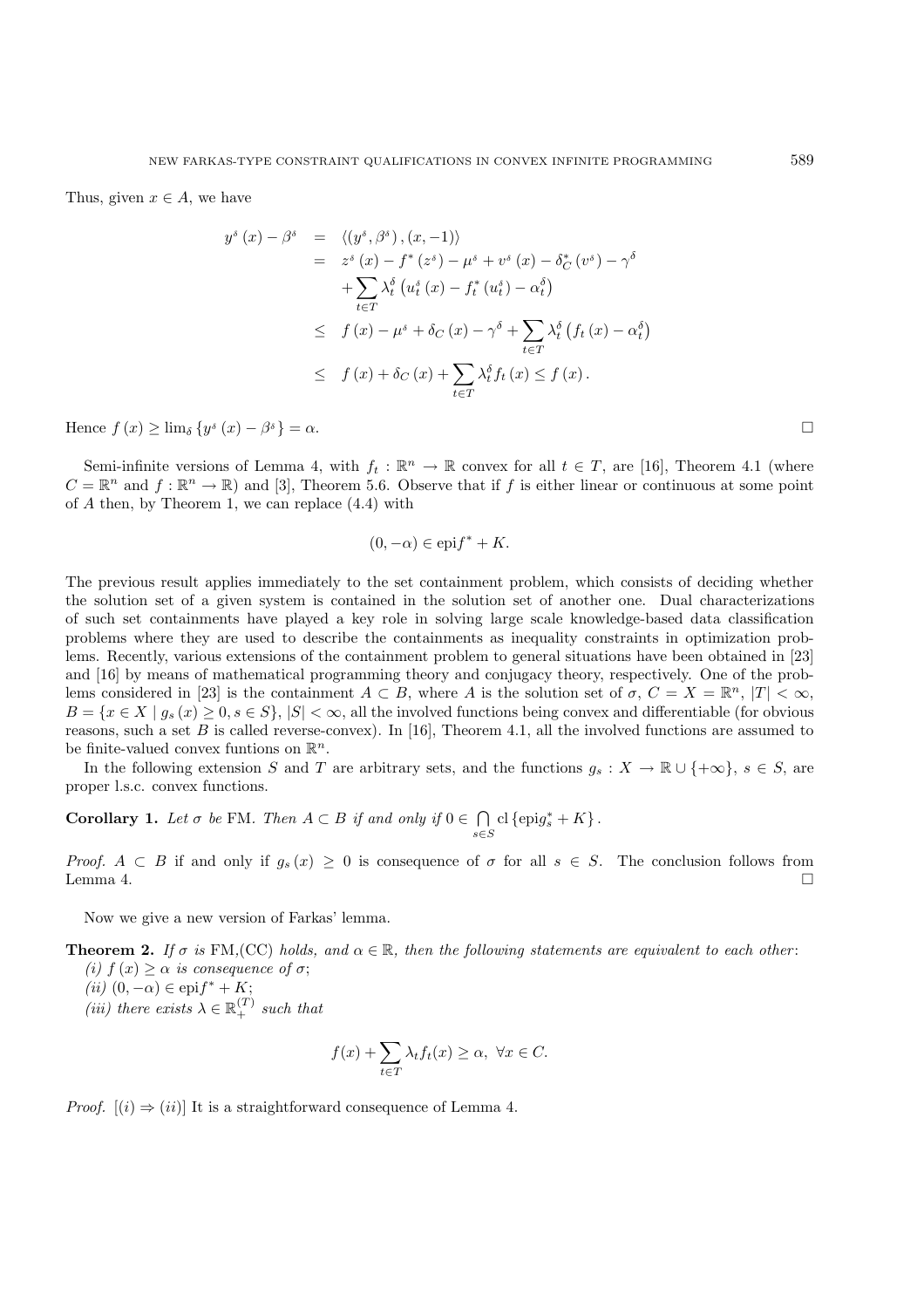Thus, given  $x \in A$ , we have

$$
y^{\delta}(x) - \beta^{\delta} = \langle (y^{\delta}, \beta^{\delta}), (x, -1) \rangle
$$
  
\n
$$
= z^{\delta}(x) - f^{*}(z^{\delta}) - \mu^{\delta} + v^{\delta}(x) - \delta_{C}^{*}(v^{\delta}) - \gamma^{\delta}
$$
  
\n
$$
+ \sum_{t \in T} \lambda_{t}^{\delta}(u_{t}^{\delta}(x) - f_{t}^{*}(u_{t}^{\delta}) - \alpha_{t}^{\delta})
$$
  
\n
$$
\leq f(x) - \mu^{\delta} + \delta_{C}(x) - \gamma^{\delta} + \sum_{t \in T} \lambda_{t}^{\delta}(f_{t}(x) - \alpha_{t}^{\delta})
$$
  
\n
$$
\leq f(x) + \delta_{C}(x) + \sum_{t \in T} \lambda_{t}^{\delta}f_{t}(x) \leq f(x).
$$

Hence  $f(x) \geq \lim_{\delta} \{y^{\delta}(x) - \beta^{\delta}\} = \alpha$ .

Semi-infinite versions of Lemma 4, with  $f_t : \mathbb{R}^n \to \mathbb{R}$  convex for all  $t \in T$ , are [16], Theorem 4.1 (where  $C = \mathbb{R}^n$  and  $f : \mathbb{R}^n \to \mathbb{R}$  and [3], Theorem 5.6. Observe that if f is either linear or continuous at some point of A then, by Theorem 1, we can replace (4.4) with

$$
(0, -\alpha) \in \text{epi} f^* + K.
$$

The previous result applies immediately to the set containment problem, which consists of deciding whether the solution set of a given system is contained in the solution set of another one. Dual characterizations of such set containments have played a key role in solving large scale knowledge-based data classification problems where they are used to describe the containments as inequality constraints in optimization problems. Recently, various extensions of the containment problem to general situations have been obtained in [23] and [16] by means of mathematical programming theory and conjugacy theory, respectively. One of the problems considered in [23] is the containment  $A \subset B$ , where A is the solution set of  $\sigma$ ,  $C = X = \mathbb{R}^n$ ,  $|T| < \infty$ ,  $B = \{x \in X \mid g_s(x) \geq 0, s \in S\}, |S| < \infty$ , all the involved functions being convex and differentiable (for obvious reasons, such a set B is called reverse-convex). In [16], Theorem 4.1, all the involved functions are assumed to be finite-valued convex funtions on  $\mathbb{R}^n$ .

In the following extension S and T are arbitrary sets, and the functions  $g_s : X \to \mathbb{R} \cup \{+\infty\}, s \in S$ , are proper l.s.c. convex functions.

**Corollary 1.** *Let*  $\sigma$  *be* FM*. Then*  $A \subset B$  *if and only if*  $0 \in \bigcap_{s \in S} cl$  {epig<sub>s</sub><sup>\*</sup> + K}.

*Proof.*  $A \subset B$  if and only if  $g_s(x) \ge 0$  is consequence of  $\sigma$  for all  $s \in S$ . The conclusion follows from Lemma 4. Lemma 4.  $\Box$ 

Now we give a new version of Farkas' lemma.

**Theorem 2.** *If*  $\sigma$  *is* FM, (CC) *holds, and*  $\alpha \in \mathbb{R}$ *, then the following statements are equivalent to each other: (i)*  $f(x) \geq \alpha$  *is consequence of*  $\sigma$ ;

- $(iii)$   $(0, -\alpha) \in$ epi $f^* + K;$ <br> $(iii)$  there exists  $\sum_{k=0}^{\infty}$
- (*iii*) there exists  $\lambda \in \mathbb{R}_+^{(T)}$  such that

$$
f(x) + \sum_{t \in T} \lambda_t f_t(x) \ge \alpha, \ \forall x \in C.
$$

*Proof.*  $[(i) \Rightarrow (ii)]$  It is a straightforward consequence of Lemma 4.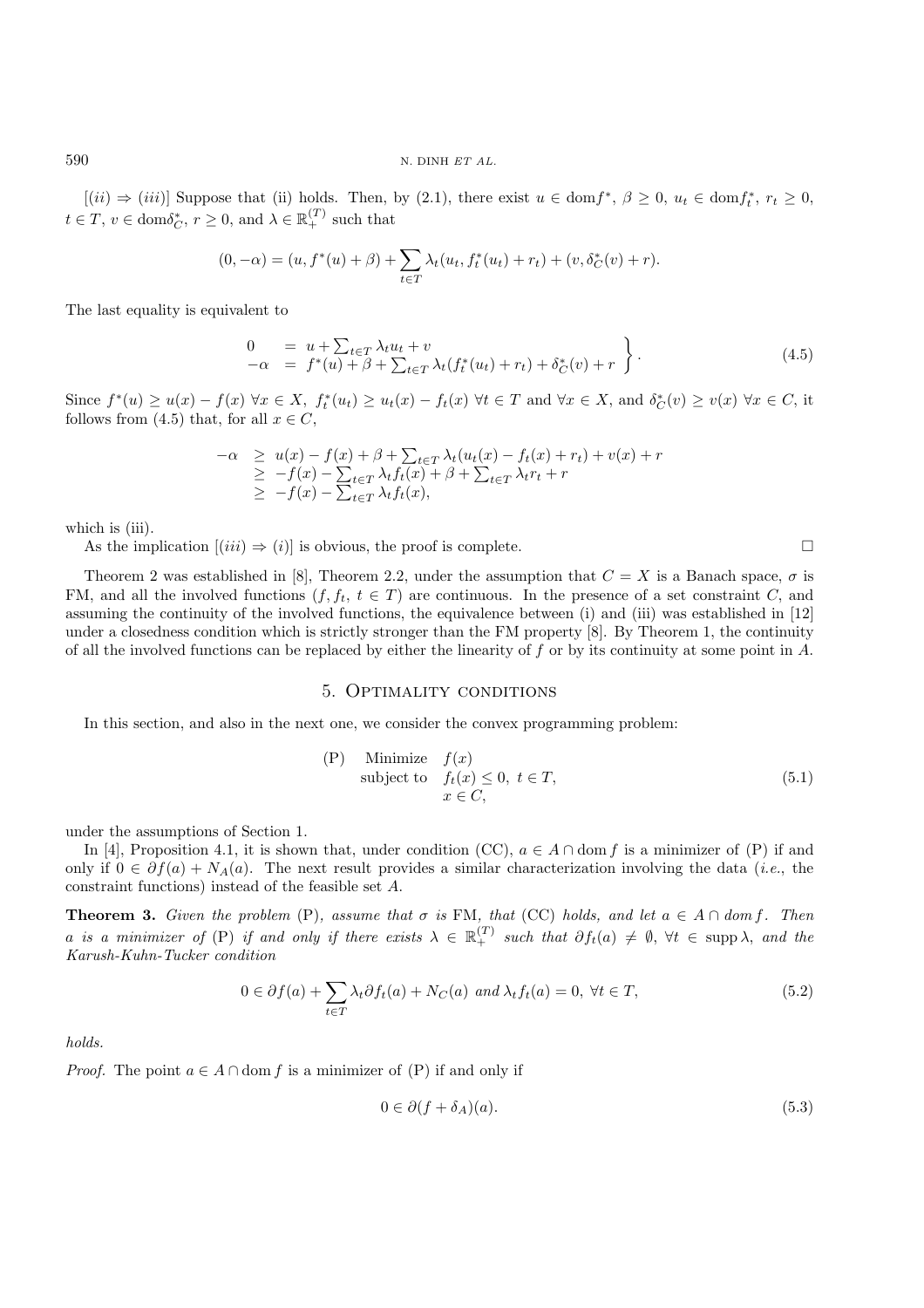$[(ii) \Rightarrow (iii)]$  Suppose that (ii) holds. Then, by (2.1), there exist  $u \in \text{dom} f^*, \ \beta \geq 0, \ u_t \in \text{dom} f_t^*, \ r_t \geq 0,$  $t \in T$ ,  $v \in \text{dom}\delta^*_{C}$ ,  $r \geq 0$ , and  $\lambda \in \mathbb{R}_+^{(T)}$  such that

$$
(0, -\alpha) = (u, f^*(u) + \beta) + \sum_{t \in T} \lambda_t(u_t, f_t^*(u_t) + r_t) + (v, \delta_C^*(v) + r).
$$

The last equality is equivalent to

$$
\begin{array}{rcl}\n0 & = & u + \sum_{t \in T} \lambda_t u_t + v \\
-\alpha & = & f^*(u) + \beta + \sum_{t \in T} \lambda_t (f_t^*(u_t) + r_t) + \delta_C^*(v) + r\n\end{array} \bigg\}.
$$
\n(4.5)

Since  $f^*(u) \ge u(x) - f(x) \,\forall x \in X$ ,  $f_t^*(u_t) \ge u_t(x) - f_t(x) \,\forall t \in T$  and  $\forall x \in X$ , and  $\delta_C^*(v) \ge v(x) \,\forall x \in C$ , it follows from (4.5) that for all  $x \in C$ follows from (4.5) that, for all  $x \in C$ ,

$$
\begin{array}{rcl}\n-\alpha & \geq & u(x) - f(x) + \beta + \sum_{t \in T} \lambda_t (u_t(x) - f_t(x) + r_t) + v(x) + r \\
& \geq & -f(x) - \sum_{t \in T} \lambda_t f_t(x) + \beta + \sum_{t \in T} \lambda_t r_t + r \\
& \geq & -f(x) - \sum_{t \in T} \lambda_t f_t(x),\n\end{array}
$$

which is (iii).

As the implication  $[(iii) \Rightarrow (i)]$  is obvious, the proof is complete.

Theorem 2 was established in [8], Theorem 2.2, under the assumption that  $C = X$  is a Banach space,  $\sigma$  is FM, and all the involved functions  $(f, f_t, t \in T)$  are continuous. In the presence of a set constraint C, and assuming the continuity of the involved functions, the equivalence between (i) and (iii) was established in [12] under a closedness condition which is strictly stronger than the FM property [8]. By Theorem 1, the continuity of all the involved functions can be replaced by either the linearity of f or by its continuity at some point in  $A$ .

#### 5. Optimality conditions

In this section, and also in the next one, we consider the convex programming problem:

(P) Minimize 
$$
f(x)
$$
  
subject to  $f_t(x) \le 0, t \in T$ ,  
 $x \in C$ , (5.1)

under the assumptions of Section 1.

In [4], Proposition 4.1, it is shown that, under condition (CC),  $a \in A \cap \text{dom } f$  is a minimizer of (P) if and only if  $0 \in \partial f(a) + N_A(a)$ . The next result provides a similar characterization involving the data (*i.e.*, the constraint functions) instead of the feasible set A.

**Theorem 3.** *Given the problem* (P)*, assume that*  $\sigma$  *is* FM*, that* (CC) *holds, and let*  $a \in A \cap dom f$ *. Then* a *is a minimizer of* (P) *if and only if there exists*  $\lambda \in \mathbb{R}_+^{(T)}$  such that  $\partial f_t(a) \neq \emptyset$ ,  $\forall t \in \text{supp }\lambda$ , and the Karush-Kuhn-Tucker condition *Karush-Kuhn-Tucker condition*

$$
0 \in \partial f(a) + \sum_{t \in T} \lambda_t \partial f_t(a) + N_C(a) \text{ and } \lambda_t f_t(a) = 0, \forall t \in T,
$$
\n
$$
(5.2)
$$

*holds.*

*Proof.* The point  $a \in A \cap \text{dom } f$  is a minimizer of  $(P)$  if and only if

$$
0 \in \partial (f + \delta_A)(a). \tag{5.3}
$$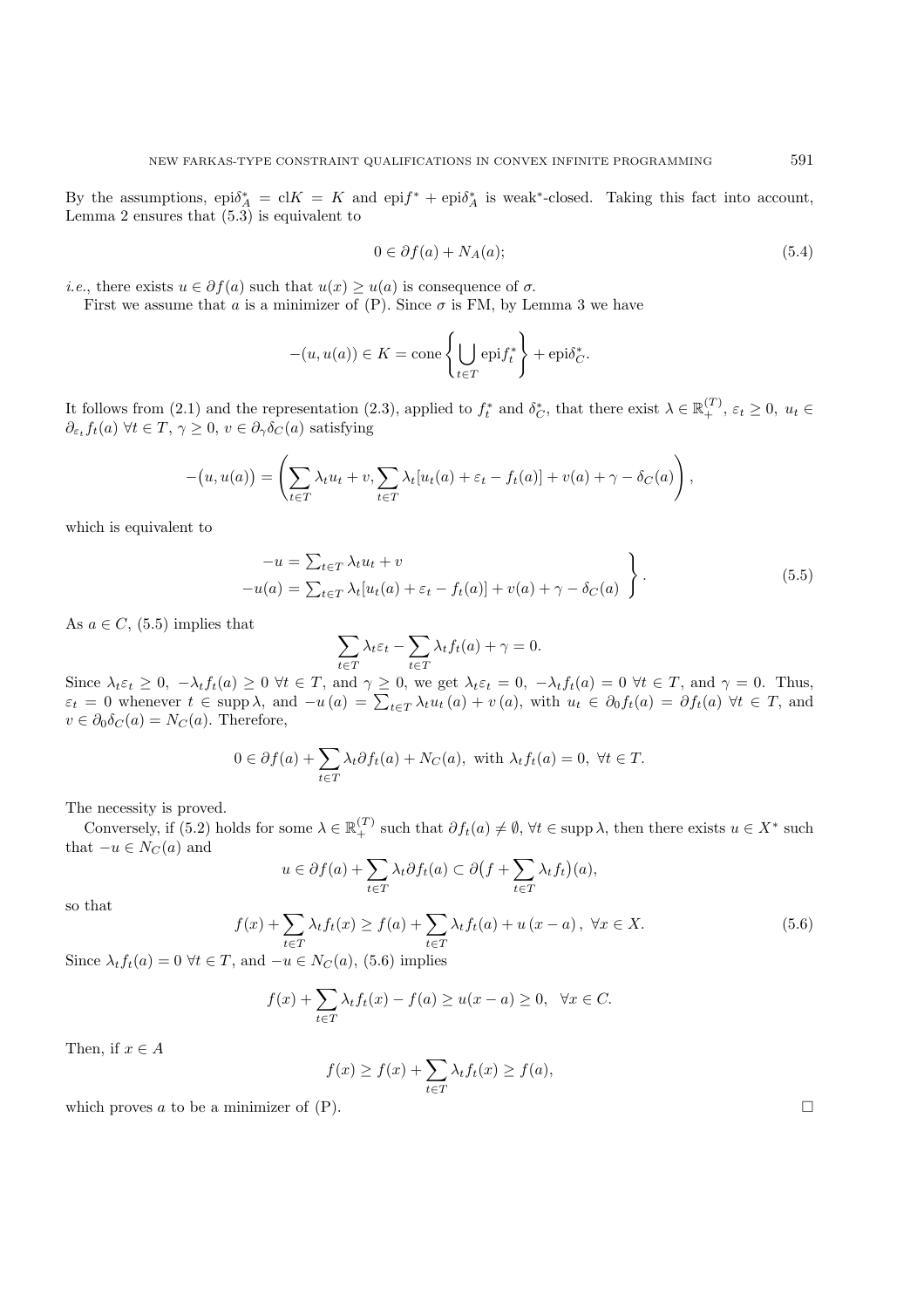By the assumptions,  $epi\delta_A^* = cK = K$  and  $epi f^* + epi\delta_A^*$  is weak\*-closed. Taking this fact into account, Lemma 2 ensures that  $(5, 3)$  is equivalent to Lemma 2 ensures that  $(5.3)$  is equivalent to

$$
0 \in \partial f(a) + N_A(a); \tag{5.4}
$$

*i.e.*, there exists  $u \in \partial f(a)$  such that  $u(x) \geq u(a)$  is consequence of  $\sigma$ .

First we assume that a is a minimizer of  $(P)$ . Since  $\sigma$  is FM, by Lemma 3 we have

$$
-(u, u(a)) \in K = \text{cone}\left\{\bigcup_{t \in T} \text{epi} f_t^*\right\} + \text{epi}\delta_C^*.
$$

It follows from (2.1) and the representation (2.3), applied to  $f_t^*$  and  $\delta_C^*$ , that there exist  $\lambda \in \mathbb{R}_+^{(T)}$ ,  $\varepsilon_t \geq 0$ ,  $u_t \in$ <br> $\partial_t f_t(a)$   $\forall t \in T$ ,  $\alpha > 0$ ,  $v \in \partial_t \delta_C(a)$  satisfying  $\partial_{\varepsilon_t} f_t(a) \,\forall t \in T, \, \gamma \geq 0, \, v \in \partial_{\gamma} \delta_C(a)$  satisfying

$$
-(u, u(a)) = \left(\sum_{t \in T} \lambda_t u_t + v, \sum_{t \in T} \lambda_t [u_t(a) + \varepsilon_t - f_t(a)] + v(a) + \gamma - \delta_C(a)\right),
$$

which is equivalent to

$$
-u = \sum_{t \in T} \lambda_t u_t + v
$$
  
-u(a) =  $\sum_{t \in T} \lambda_t [u_t(a) + \varepsilon_t - f_t(a)] + v(a) + \gamma - \delta_C(a)$   $\bigg\}$ . (5.5)

As  $a \in C$ , (5.5) implies that

$$
\sum_{t \in T} \lambda_t \varepsilon_t - \sum_{t \in T} \lambda_t f_t(a) + \gamma = 0.
$$

Since  $\lambda_t \varepsilon_t \geq 0$ ,  $-\lambda_t f_t(a) \geq 0$   $\forall t \in T$ , and  $\gamma \geq 0$ , we get  $\lambda_t \varepsilon_t = 0$ ,  $-\lambda_t f_t(a) = 0$   $\forall t \in T$ , and  $\gamma = 0$ . Thus,  $\varepsilon_t = 0$  whenever  $t \in \text{sum } \lambda$  and  $-\nu(a) = \sum_{i=1}^{\infty} \lambda_i \nu_i(a) + \nu_i(a)$  with  $\nu_i \in \partial_t f_i(a) = \partial_t f_i$  $\varepsilon_t = 0$  whenever  $t \in \text{supp }\lambda$ , and  $-u(a) = \sum_{t \in T} \lambda_t u_t(a) + v(a)$ , with  $u_t \in \partial_0 f_t(a) = \partial f_t(a) \ \forall t \in T$ , and  $v \in \partial_0 \delta_0(a) - N_0(a)$ . Therefore  $v \in \partial_0 \delta_C(a) = N_C(a)$ . Therefore,

$$
0 \in \partial f(a) + \sum_{t \in T} \lambda_t \partial f_t(a) + N_C(a), \text{ with } \lambda_t f_t(a) = 0, \ \forall t \in T.
$$

The necessity is proved.

Conversely, if (5.2) holds for some  $\lambda \in \mathbb{R}_+^{(T)}$  such that  $\partial f_t(a) \neq \emptyset$ ,  $\forall t \in \text{supp }\lambda$ , then there exists  $u \in X^*$  such  $u \in X_0$  and that  $-u \in N_C(a)$  and

$$
u \in \partial f(a) + \sum_{t \in T} \lambda_t \partial f_t(a) \subset \partial \big(f + \sum_{t \in T} \lambda_t f_t\big)(a),
$$

so that

$$
f(x) + \sum_{t \in T} \lambda_t f_t(x) \ge f(a) + \sum_{t \in T} \lambda_t f_t(a) + u(x - a), \ \forall x \in X.
$$
 (5.6)

Since  $\lambda_t f_t(a) = 0 \ \forall t \in T$ , and  $-u \in N_C(a)$ , (5.6) implies

$$
f(x) + \sum_{t \in T} \lambda_t f_t(x) - f(a) \ge u(x - a) \ge 0, \ \ \forall x \in C.
$$

Then, if  $x \in A$ 

$$
f(x) \ge f(x) + \sum_{t \in T} \lambda_t f_t(x) \ge f(a),
$$

which proves a to be a minimizer of  $(P)$ .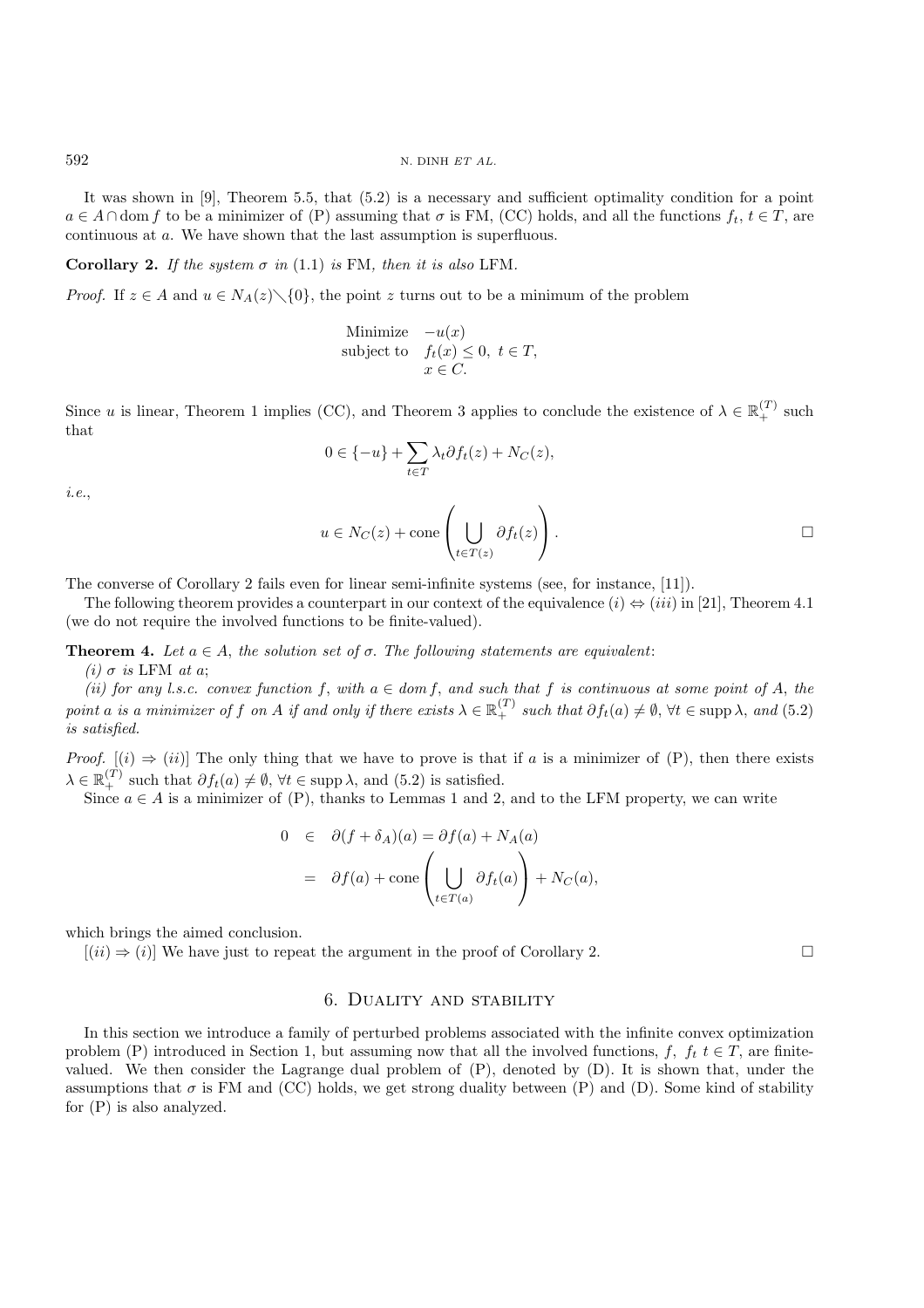It was shown in [9], Theorem 5.5, that (5.2) is a necessary and sufficient optimality condition for a point  $a \in A \cap$  dom f to be a minimizer of (P) assuming that  $\sigma$  is FM, (CC) holds, and all the functions  $f_t, t \in T$ , are continuous at a. We have shown that the last assumption is superfluous.

**Corollary 2.** *If the system*  $\sigma$  *in* (1.1) *is* FM, *then it is also* LFM.

*Proof.* If  $z \in A$  and  $u \in N_A(z) \setminus \{0\}$ , the point z turns out to be a minimum of the problem

Minimize 
$$
-u(x)
$$
  
subject to  $f_t(x) \le 0, t \in T$ ,  
 $x \in C$ .

Since u is linear, Theorem 1 implies (CC), and Theorem 3 applies to conclude the existence of  $\lambda \in \mathbb{R}_+^{(T)}$  such that that

$$
0 \in \{-u\} + \sum_{t \in T} \lambda_t \partial f_t(z) + N_C(z),
$$

*i.e.*,

$$
u \in N_C(z) + \text{cone}\left(\bigcup_{t \in T(z)} \partial f_t(z)\right).
$$

The converse of Corollary 2 fails even for linear semi-infinite systems (see, for instance, [11]).

The following theorem provides a counterpart in our context of the equivalence  $(i) \Leftrightarrow (iii)$  in [21], Theorem 4.1 (we do not require the involved functions to be finite-valued).

**Theorem 4.** Let  $a \in A$ , the solution set of  $\sigma$ . The following statements are equivalent: *(i)*  $\sigma$  *is* LFM *at a*;

*(ii)* for any l.s.c. convex function f, with  $a \in dom f$ , and such that f is continuous at some point of A, the *point* a *is a minimizer of* f *on* A *if and only if there exists*  $\lambda \in \mathbb{R}_+^{(T)}$  *such that*  $\partial f_t(a) \neq \emptyset$ ,  $\forall t \in \text{supp }\lambda$ , and (5.2) *is satisfied.*

*Proof.*  $[(i) \Rightarrow (ii)]$  The only thing that we have to prove is that if a is a minimizer of (P), then there exists  $\lambda \in \mathbb{R}_+^{(T)}$  such that  $\partial f_t(a) \neq \emptyset$ ,  $\forall t \in \text{supp }\lambda$ , and (5.2) is satisfied.<br>Since  $a \in A$  is a minimizer of (P) thanks to Lemmas 1 and 2

Since  $a \in A$  is a minimizer of (P), thanks to Lemmas 1 and 2, and to the LFM property, we can write

$$
0 \in \partial(f + \delta_A)(a) = \partial f(a) + N_A(a)
$$
  
=  $\partial f(a) + \text{cone}\left(\bigcup_{t \in T(a)} \partial f_t(a)\right) + N_C(a),$ 

which brings the aimed conclusion.

 $[(ii) \Rightarrow (i)]$  We have just to repeat the argument in the proof of Corollary 2.

#### 6. Duality and stability

In this section we introduce a family of perturbed problems associated with the infinite convex optimization problem (P) introduced in Section 1, but assuming now that all the involved functions, f,  $f_t$  t  $\in T$ , are finitevalued. We then consider the Lagrange dual problem of (P), denoted by (D). It is shown that, under the assumptions that  $\sigma$  is FM and (CC) holds, we get strong duality between (P) and (D). Some kind of stability for (P) is also analyzed.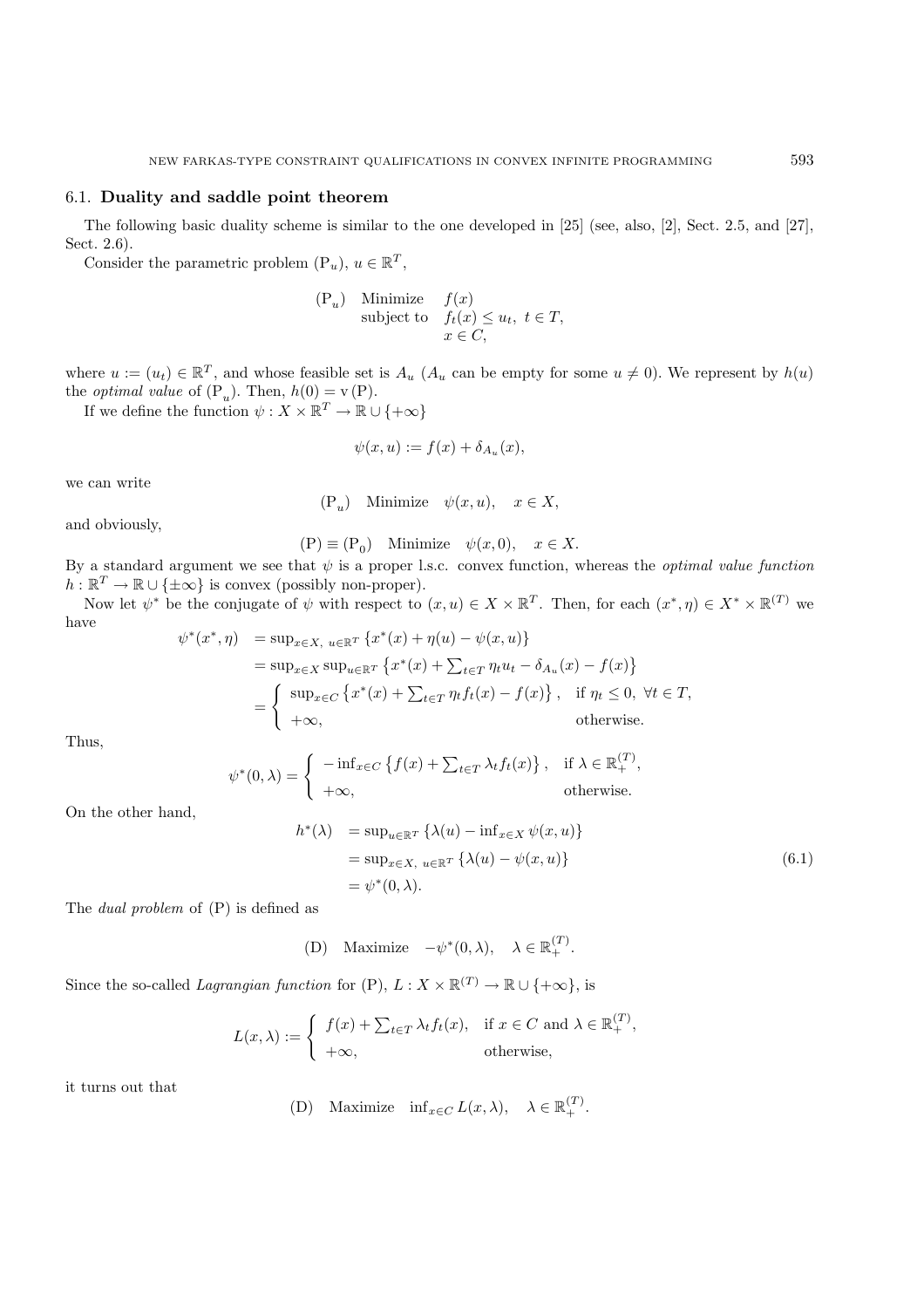## 6.1. **Duality and saddle point theorem**

The following basic duality scheme is similar to the one developed in [25] (see, also, [2], Sect. 2.5, and [27], Sect. 2.6).

Consider the parametric problem  $(P_u)$ ,  $u \in \mathbb{R}^T$ ,

(P<sub>u</sub>) Minimize 
$$
f(x)
$$
  
subject to  $f_t(x) \le u_t, t \in T$ ,  
 $x \in C$ ,

where  $u := (u_t) \in \mathbb{R}^T$ , and whose feasible set is  $A_u$  ( $A_u$  can be empty for some  $u \neq 0$ ). We represent by  $h(u)$ the *optimal value* of  $(P_u)$ . Then,  $h(0) = v(P)$ .<br>If we define the function  $\psi : X \times \mathbb{P}^T \to \mathbb{P}$ .

If we define the function  $\psi : X \times \mathbb{R}^T \to \mathbb{R} \cup \{+\infty\}$ 

$$
\psi(x, u) := f(x) + \delta_{A_u}(x),
$$

we can write

$$
(\mathbf{P}_u) \quad \text{Minimize} \quad \psi(x, u), \quad x \in X,
$$

and obviously,

$$
\text{(P)} \equiv \text{(P}_0) \quad \text{Minimize} \quad \psi(x,0), \quad x \in X.
$$

By a standard argument we see that  $\psi$  is a proper l.s.c. convex function, whereas the *optimal value function*  $h \cdot \mathbb{R}^T \to \mathbb{R} \cup \{+\infty\}$  is convex (possibly pop-proper)  $h: \mathbb{R}^T \to \mathbb{R} \cup {\{\pm \infty\}}$  is convex (possibly non-proper).

Now let  $\psi^*$  be the conjugate of  $\psi$  with respect to  $(x, u) \in X \times \mathbb{R}^T$ . Then, for each  $(x^*, \eta) \in X^* \times \mathbb{R}^{(T)}$  we have  $\psi^*(x^*, n) = \sup_{x \in \mathbb{R}^T} \{x^*(x) + n(u) - \psi(x, u)\}$ 

$$
(x, \eta) = \sup_{x \in X} \sup_{u \in \mathbb{R}^T} \{x^*(x) + \eta(u) - \psi(x, u)\}
$$
  
\n
$$
= \sup_{x \in X} \sup_{u \in \mathbb{R}^T} \{x^*(x) + \sum_{t \in T} \eta_t u_t - \delta_{A_u}(x) - f(x)\}
$$
  
\n
$$
= \begin{cases} \sup_{x \in C} \{x^*(x) + \sum_{t \in T} \eta_t f_t(x) - f(x)\}, & \text{if } \eta_t \le 0, \forall t \in T, \\ +\infty, & \text{otherwise.} \end{cases}
$$

Thus,

$$
\psi^*(0,\lambda) = \begin{cases}\n-\inf_{x \in C} \left\{ f(x) + \sum_{t \in T} \lambda_t f_t(x) \right\}, & \text{if } \lambda \in \mathbb{R}_+^{(T)}, \\
+\infty, & \text{otherwise.} \n\end{cases}
$$

On the other hand,

$$
h^*(\lambda) = \sup_{u \in \mathbb{R}^T} \left\{ \lambda(u) - \inf_{x \in X} \psi(x, u) \right\}
$$
  
= 
$$
\sup_{x \in X, u \in \mathbb{R}^T} \left\{ \lambda(u) - \psi(x, u) \right\}
$$
  
= 
$$
\psi^*(0, \lambda).
$$
 (6.1)

The *dual problem* of (P) is defined as

(D) Maximize  $-\psi^*(0, \lambda)$ ,  $\lambda \in \mathbb{R}_+^{(T)}$ .

Since the so-called *Lagrangian function* for  $(P)$ ,  $L: X \times \mathbb{R}^{(T)} \to \mathbb{R} \cup \{+\infty\}$ , is

$$
L(x,\lambda) := \begin{cases} f(x) + \sum_{t \in T} \lambda_t f_t(x), & \text{if } x \in C \text{ and } \lambda \in \mathbb{R}_+^{(T)}, \\ +\infty, & \text{otherwise,} \end{cases}
$$

it turns out that

(D) Maximize  $\inf_{x \in C} L(x, \lambda), \quad \lambda \in \mathbb{R}_+^{(T)}$ .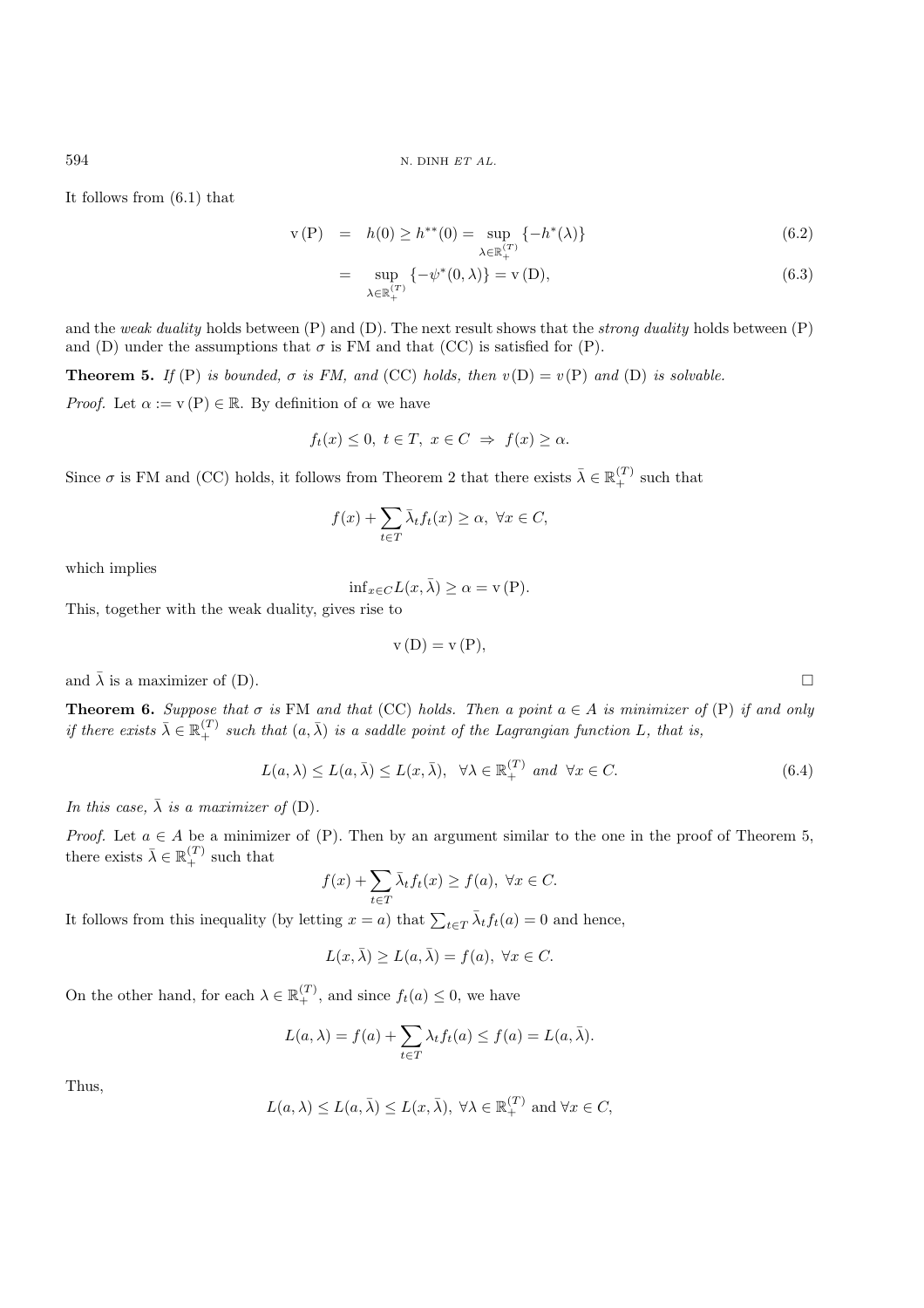It follows from (6.1) that

$$
v(P) = h(0) \ge h^{**}(0) = \sup_{\lambda \in \mathbb{R}_+^{(T)}} \{-h^*(\lambda)\}
$$
(6.2)

$$
= \sup_{\lambda \in \mathbb{R}_+^{(T)}} \{-\psi^*(0,\lambda)\} = \mathbf{v}(D),\tag{6.3}
$$

and the *weak duality* holds between (P) and (D). The next result shows that the *strong duality* holds between (P) and (D) under the assumptions that  $\sigma$  is FM and that (CC) is satisfied for (P).

**Theorem 5.** *If* (P) *is bounded,*  $\sigma$  *is FM, and* (CC) *holds, then*  $v(D) = v(P)$  *and* (D) *is solvable.* 

*Proof.* Let  $\alpha := v(P) \in \mathbb{R}$ . By definition of  $\alpha$  we have

$$
f_t(x) \le 0, \ t \in T, \ x \in C \ \Rightarrow \ f(x) \ge \alpha.
$$

Since  $\sigma$  is FM and (CC) holds, it follows from Theorem 2 that there exists  $\bar{\lambda} \in \mathbb{R}_+^{(T)}$  such that

$$
f(x) + \sum_{t \in T} \bar{\lambda}_t f_t(x) \ge \alpha, \ \forall x \in C,
$$

which implies

$$
\inf_{x \in C} L(x, \bar{\lambda}) \ge \alpha = \mathbf{v}(\mathbf{P}).
$$

This, together with the weak duality, gives rise to

$$
v(D) = v(P),
$$

and  $\bar{\lambda}$  is a maximizer of (D).

**Theorem 6.** Suppose that  $\sigma$  is FM and that (CC) holds. Then a point  $a \in A$  is minimizer of (P) if and only *if there exists*  $\bar{\lambda} \in \mathbb{R}_+^{(T)}$  such that  $(a, \bar{\lambda})$  *is a saddle point of the Lagrangian function* L, that *is*,

$$
L(a,\lambda) \le L(a,\bar{\lambda}) \le L(x,\bar{\lambda}), \quad \forall \lambda \in \mathbb{R}_+^{(T)} \text{ and } \forall x \in C. \tag{6.4}
$$

*In this case,*  $\bar{\lambda}$  *is a maximizer of* (D).

*Proof.* Let  $a \in A$  be a minimizer of (P). Then by an argument similar to the one in the proof of Theorem 5, there exists  $\bar{\lambda} \in \mathbb{R}_+^{(T)}$  such that

$$
f(x) + \sum_{t \in T} \bar{\lambda}_t f_t(x) \ge f(a), \ \forall x \in C.
$$

It follows from this inequality (by letting  $x = a$ ) that  $\sum_{t \in T} \bar{\lambda}_t f_t(a) = 0$  and hence,

$$
L(x,\bar{\lambda}) \ge L(a,\bar{\lambda}) = f(a), \ \forall x \in C.
$$

On the other hand, for each  $\lambda \in \mathbb{R}_+^{(T)}$ , and since  $f_t(a) \leq 0$ , we have

$$
L(a,\lambda) = f(a) + \sum_{t \in T} \lambda_t f_t(a) \le f(a) = L(a,\bar{\lambda}).
$$

Thus,

$$
L(a, \lambda) \le L(a, \overline{\lambda}) \le L(x, \overline{\lambda}), \forall \lambda \in \mathbb{R}_+^{(T)}
$$
 and  $\forall x \in C$ ,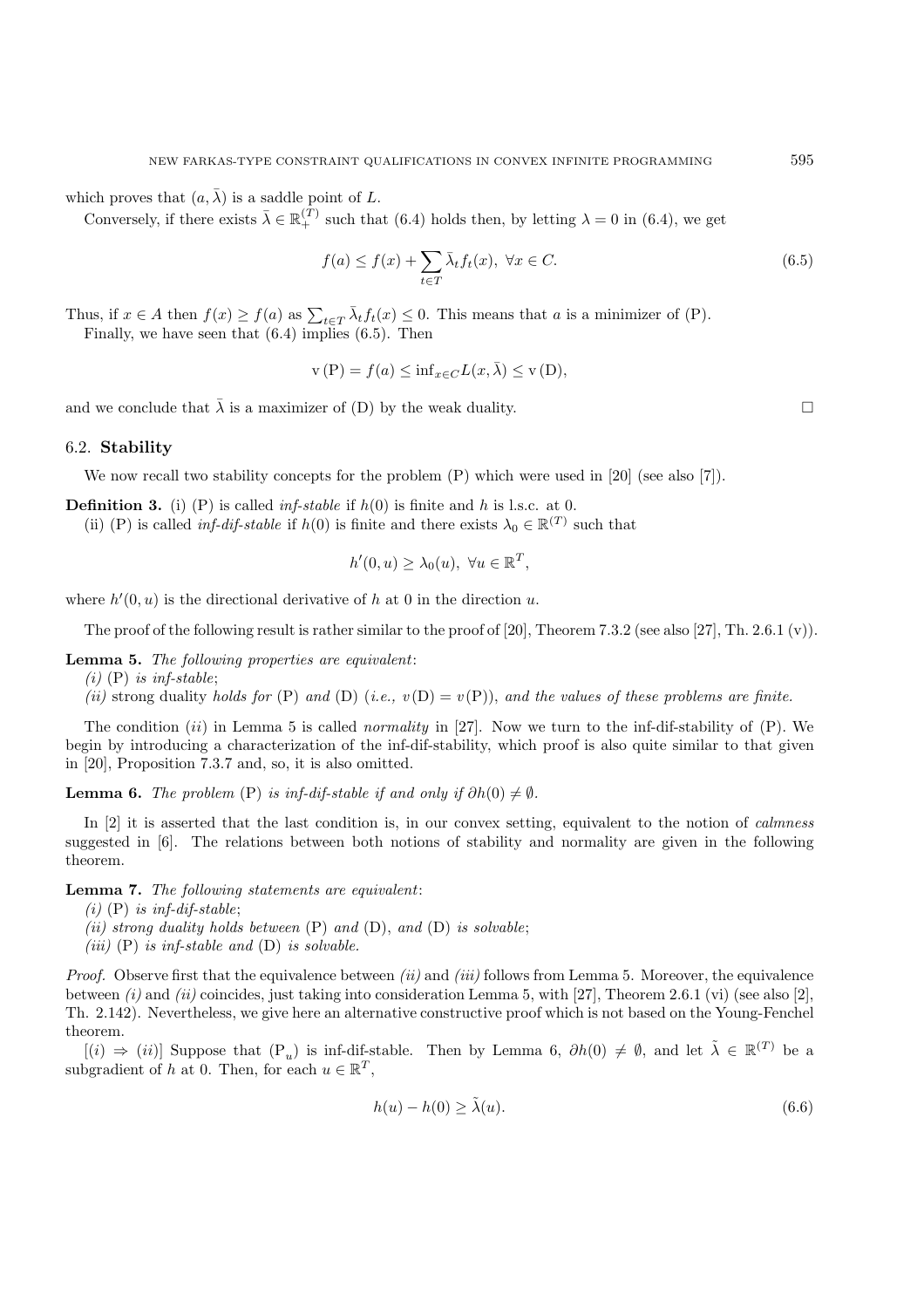which proves that  $(a, \bar{\lambda})$  is a saddle point of L.

Conversely, if there exists  $\bar{\lambda} \in \mathbb{R}_+^{(T)}$  such that (6.4) holds then, by letting  $\lambda = 0$  in (6.4), we get

$$
f(a) \le f(x) + \sum_{t \in T} \bar{\lambda}_t f_t(x), \ \forall x \in C. \tag{6.5}
$$

Thus, if  $x \in A$  then  $f(x) \ge f(a)$  as  $\sum_{t \in T} \overline{\lambda}_t f_t(x) \le 0$ . This means that a is a minimizer of (P).<br>Finally we have seen that (6.4) implies (6.5). Then Finally, we have seen that (6.4) implies (6.5). Then

$$
v(P) = f(a) \le \inf_{x \in C} L(x, \bar{\lambda}) \le v(D),
$$

and we conclude that  $\bar{\lambda}$  is a maximizer of (D) by the weak duality.  $\square$ 

#### 6.2. **Stability**

We now recall two stability concepts for the problem  $(P)$  which were used in [20] (see also [7]).

**Definition 3.** (i) (P) is called *inf-stable* if  $h(0)$  is finite and h is l.s.c. at 0.

(ii) (P) is called *inf-dif-stable* if  $h(0)$  is finite and there exists  $\lambda_0 \in \mathbb{R}^{(T)}$  such that

$$
h'(0, u) \ge \lambda_0(u), \ \forall u \in \mathbb{R}^T,
$$

where  $h'(0, u)$  is the directional derivative of h at 0 in the direction u.

The proof of the following result is rather similar to the proof of [20], Theorem 7.3.2 (see also [27], Th. 2.6.1 (v)).

**Lemma 5.** *The following properties are equivalent*:

*(i)* (P) *is inf-stable*;

*(ii)* strong duality *holds for* (P) *and* (D) *(i.e., v*(D) = *v*(P)), *and the values of these problems are finite.* 

The condition *(ii)* in Lemma 5 is called *normality* in [27]. Now we turn to the inf-dif-stability of *(P)*. We begin by introducing a characterization of the inf-dif-stability, which proof is also quite similar to that given in [20], Proposition 7.3.7 and, so, it is also omitted.

**Lemma 6.** *The problem* (P) *is inf-dif-stable if and only if*  $\partial h(0) \neq \emptyset$ *.* 

In [2] it is asserted that the last condition is, in our convex setting, equivalent to the notion of *calmness* suggested in [6]. The relations between both notions of stability and normality are given in the following theorem.

**Lemma 7.** *The following statements are equivalent*:

- *(i)* (P) *is inf-dif-stable*;
- *(ii) strong duality holds between* (P) *and* (D), *and* (D) *is solvable*;
- *(iii)* (P) *is inf-stable and* (D) *is solvable.*

*Proof.* Observe first that the equivalence between *(ii)* and *(iii)* follows from Lemma 5. Moreover, the equivalence between *(i)* and *(ii)* coincides, just taking into consideration Lemma 5, with [27], Theorem 2.6.1 (vi) (see also [2], Th. 2.142). Nevertheless, we give here an alternative constructive proof which is not based on the Young-Fenchel theorem.

 $[(i) \Rightarrow (ii)]$  Suppose that  $(P_{ij})$  is inf-dif-stable. Then by Lemma 6,  $\partial h(0) \neq \emptyset$ , and let  $\tilde{\lambda} \in \mathbb{R}^{(T)}$  be a subgradient of h at 0. Then, for each  $u \in \mathbb{R}^T$ ,

$$
h(u) - h(0) \ge \tilde{\lambda}(u). \tag{6.6}
$$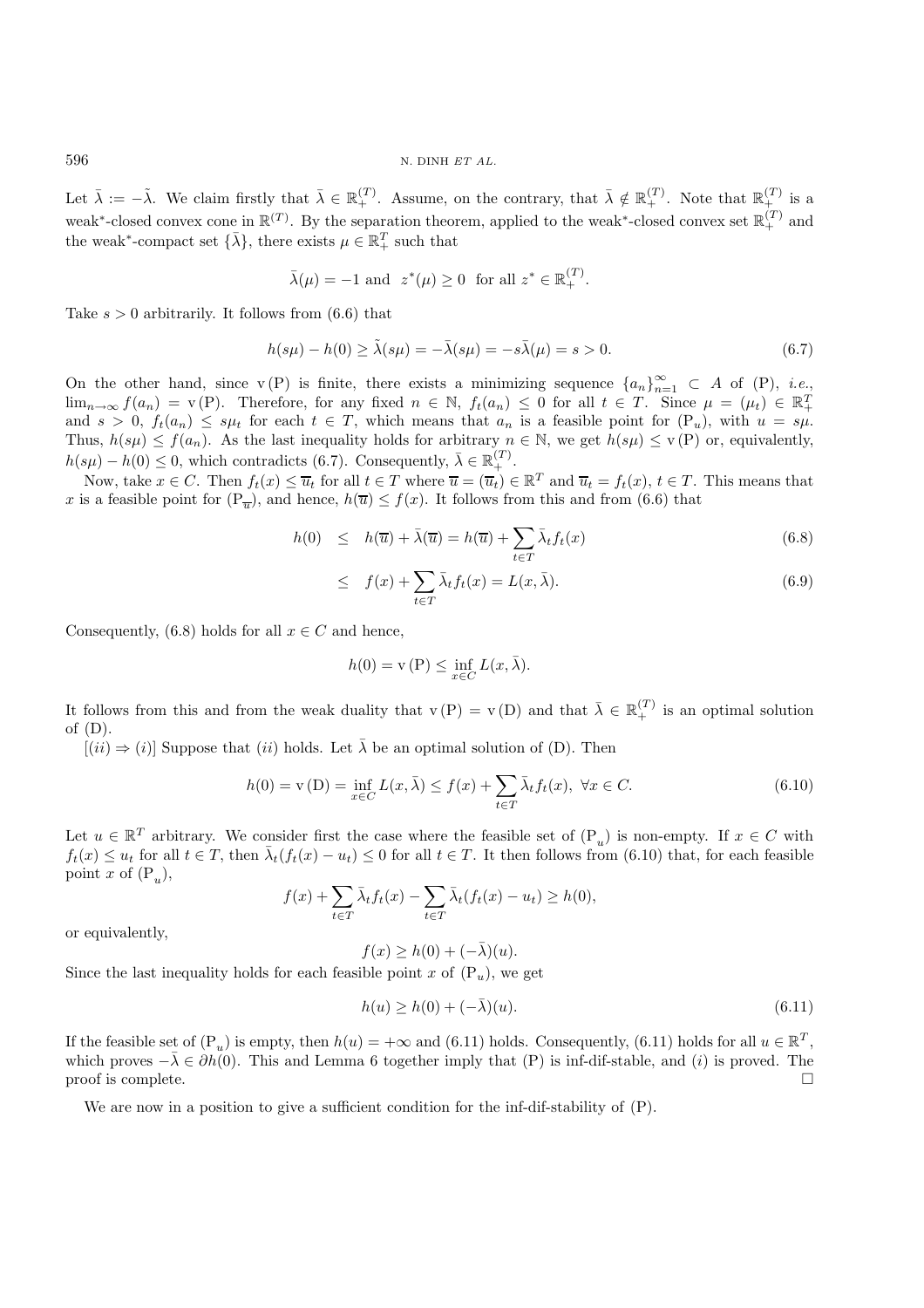Let  $\bar{\lambda} := -\tilde{\lambda}$ . We claim firstly that  $\bar{\lambda} \in \mathbb{R}_+^{(T)}$ . Assume, on the contrary, that  $\bar{\lambda} \notin \mathbb{R}_+^{(T)}$ . Note that  $\mathbb{R}_+^{(T)}$  is a weak<sup>\*</sup>-closed convex cone in  $\mathbb{R}^{(T)}$ . By the separation theorem, applied to the weak<sup>\*</sup>-closed convex set  $\mathbb{R}^{(T)}_+$  and the weak<sup>\*</sup>-compact set  $\{\bar{\lambda}\}\,$ , there exists  $\mu \in \mathbb{R}_+^T$  such that

$$
\bar{\lambda}(\mu) = -1 \text{ and } z^*(\mu) \ge 0 \text{ for all } z^* \in \mathbb{R}_+^{(T)}.
$$

Take  $s > 0$  arbitrarily. It follows from  $(6.6)$  that

$$
h(s\mu) - h(0) \ge \tilde{\lambda}(s\mu) = -\bar{\lambda}(s\mu) = -s\bar{\lambda}(\mu) = s > 0.
$$
\n
$$
(6.7)
$$

On the other hand, since v (P) is finite, there exists a minimizing sequence  $\{a_n\}_{n=1}^{\infty} \subset A$  of (P), *i.e.*, <br>lim  $\lim_{n\to\infty} f(a_n) = v(P)$ . Therefore, for any fixed  $n \in \mathbb{N}$ ,  $f_t(a_n) \leq 0$  for all  $t \in T$ . Since  $\mu = (\mu_t) \in \mathbb{R}^T$ <br>and  $s > 0$ ,  $f_t(a_n) \leq su_t$  for each  $t \in T$  , which means that  $a_n$  is a feasible point for  $(P_n)$ , with  $u = su_t$ and  $s > 0$ ,  $f_t(a_n) \leq s\mu_t$  for each  $t \in T$ , which means that  $a_n$  is a feasible point for  $(P_u)$ , with  $u = s\mu$ . Thus,  $h(s\mu) \le f(a_n)$ . As the last inequality holds for arbitrary  $n \in \mathbb{N}$ , we get  $h(s\mu) \le v(P)$  or, equivalently,  $h(s\mu) - h(0) \leq 0$ , which contradicts (6.7). Consequently,  $\bar{\lambda} \in \mathbb{R}_+^{(T)}$ .<br>Now take  $x \in C$ . Then  $f(x) \leq \bar{x}$ , for all  $t \in T$  where  $\bar{x} = (\bar{x} + \lambda)\bar{x}$ .

Now, take  $x \in C$ . Then  $f_t(x) \leq \overline{u}_t$  for all  $t \in T$  where  $\overline{u} = (\overline{u}_t) \in \mathbb{R}^T$  and  $\overline{u}_t = f_t(x)$ ,  $t \in T$ . This means that x is a feasible point for  $(P_{\overline{n}})$ , and hence,  $h(\overline{u}) \le f(x)$ . It follows from this and from (6.6) that

$$
h(0) \leq h(\overline{u}) + \overline{\lambda}(\overline{u}) = h(\overline{u}) + \sum_{t \in T} \overline{\lambda}_t f_t(x) \tag{6.8}
$$

$$
\leq f(x) + \sum_{t \in T} \bar{\lambda}_t f_t(x) = L(x, \bar{\lambda}). \tag{6.9}
$$

Consequently, (6.8) holds for all  $x \in C$  and hence,

$$
h(0) = \mathbf{v}(\mathbf{P}) \le \inf_{x \in C} L(x, \bar{\lambda}).
$$

It follows from this and from the weak duality that  $v(P) = v(D)$  and that  $\bar{\lambda} \in \mathbb{R}_+^{(T)}$  is an optimal solution of  $(D)$ of (D).

 $[(ii) \Rightarrow (i)]$  Suppose that  $(ii)$  holds. Let  $\bar{\lambda}$  be an optimal solution of (D). Then

$$
h(0) = \mathbf{v}(D) = \inf_{x \in C} L(x, \bar{\lambda}) \le f(x) + \sum_{t \in T} \bar{\lambda}_t f_t(x), \ \forall x \in C.
$$
 (6.10)

Let  $u \in \mathbb{R}^T$  arbitrary. We consider first the case where the feasible set of  $(\mathcal{P}_u)$  is non-empty. If  $x \in C$  with  $f_t(x) \le u_t$  for all  $t \in T$ , then  $\bar{\lambda}_t(f_t(x) - u_t) \le 0$  for all  $t \in T$ . It then follows from (6.10) that, for each feasible point x of  $(P_u)$ ,

$$
f(x) + \sum_{t \in T} \bar{\lambda}_t f_t(x) - \sum_{t \in T} \bar{\lambda}_t (f_t(x) - u_t) \ge h(0),
$$

or equivalently,

$$
f(x) \ge h(0) + (-\bar{\lambda})(u).
$$

Since the last inequality holds for each feasible point x of  $(P_u)$ , we get

$$
h(u) \ge h(0) + (-\bar{\lambda})(u). \tag{6.11}
$$

If the feasible set of  $(P_n)$  is empty, then  $h(u)=+\infty$  and (6.11) holds. Consequently, (6.11) holds for all  $u \in \mathbb{R}^T$ , which proves  $-\bar{\lambda} \in \partial h(0)$ . This and Lemma 6 together imply that (P) is inf-dif-stable, and (*i*) is proved. The proof is complete. proof is complete.

We are now in a position to give a sufficient condition for the inf-dif-stability of  $(P)$ .